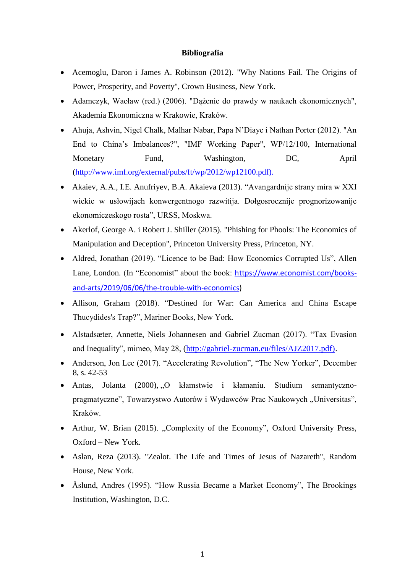## **Bibliografia**

- Acemoglu, Daron i James A. Robinson (2012). "Why Nations Fail. The Origins of Power, Prosperity, and Poverty", Crown Business, New York.
- Adamczyk, Wacław (red.) (2006). "Dążenie do prawdy w naukach ekonomicznych", Akademia Ekonomiczna w Krakowie, Kraków.
- Ahuja, Ashvin, Nigel Chalk, Malhar Nabar, Papa N'Diaye i Nathan Porter (2012). "An End to China's Imbalances?", "IMF Working Paper", WP/12/100, International Monetary Fund, Washington, DC, April [\(http://www.imf.org/external/pubs/ft/wp/2012/wp12100.pdf\).](http://www.imf.org/external/pubs/ft/wp/2012/wp12100.pdf))
- Akaiev, A.A., I.E. Anufriyev, B.A. Akaieva (2013). "Avangardnije strany mira w XXI wiekie w usłowijach konwergentnogo razwitija. Dołgosrocznije prognorizowanije ekonomiczeskogo rosta", URSS, Moskwa.
- Akerlof, George A. i Robert J. Shiller (2015). "Phishing for Phools: The Economics of Manipulation and Deception", Princeton University Press, Princeton, NY.
- Aldred, Jonathan (2019). "Licence to be Bad: How Economics Corrupted Us", Allen Lane, London. (In "Economist" about the book: [https://www.economist.com/books](https://www.economist.com/books-and-arts/2019/06/06/the-trouble-with-economics)[and-arts/2019/06/06/the-trouble-with-economics\)](https://www.economist.com/books-and-arts/2019/06/06/the-trouble-with-economics)
- Allison, Graham (2018). "Destined for War: Can America and China Escape Thucydides's Trap?", Mariner Books, New York.
- Alstadsæter, Annette, Niels Johannesen and Gabriel Zucman (2017). "Tax Evasion and Inequality", mimeo, May 28, [\(http://gabriel-zucman.eu/files/AJZ2017.pdf\).](http://gabriel-zucman.eu/files/AJZ2017.pdf))
- Anderson, Jon Lee (2017). "Accelerating Revolution", "The New Yorker", December 8, s. 42-53
- Antas, Jolanta (2000), "O kłamstwie i kłamaniu. Studium semantycznopragmatyczne", Towarzystwo Autorów i Wydawców Prac Naukowych "Universitas", Kraków.
- Arthur, W. Brian (2015). "Complexity of the Economy", Oxford University Press, Oxford – New York.
- Aslan, Reza (2013). "Zealot. The Life and Times of Jesus of Nazareth", Random House, New York.
- Åslund, Andres (1995). "How Russia Became a Market Economy", The Brookings Institution, Washington, D.C.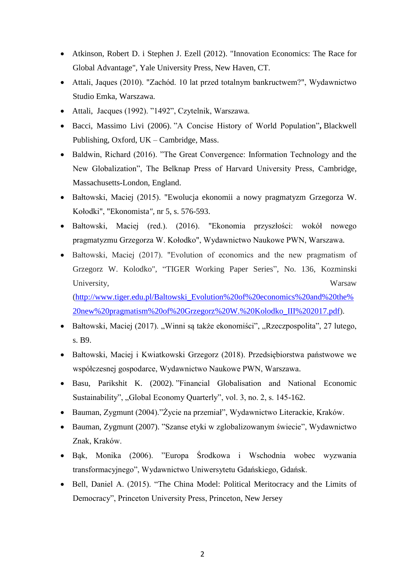- Atkinson, Robert D. i Stephen J. Ezell (2012). "Innovation Economics: The Race for Global Advantage", Yale University Press, New Haven, CT.
- Attali, Jaques (2010). "Zachód. 10 lat przed totalnym bankructwem?", Wydawnictwo Studio Emka, Warszawa.
- Attali, Jacques (1992). "1492", Czytelnik, Warszawa.
- Bacci, Massimo Livi (2006). "A Concise History of World Population"**,** Blackwell Publishing, Oxford, UK – Cambridge, Mass.
- Baldwin, Richard (2016). "The Great Convergence: Information Technology and the New Globalization", The Belknap Press of Harvard University Press, Cambridge, Massachusetts-London, England.
- Bałtowski, Maciej (2015). "Ewolucja ekonomii a nowy pragmatyzm Grzegorza W. Kołodki", "Ekonomista*",* nr 5, s. 576-593.
- Bałtowski, Maciej (red.). (2016). "Ekonomia przyszłości: wokół nowego pragmatyzmu Grzegorza W. Kołodko", Wydawnictwo Naukowe PWN, Warszawa.
- Bałtowski, Maciej (2017). "Evolution of economics and the new pragmatism of Grzegorz W. Kolodko", "TIGER Working Paper Series", No. 136, Kozminski University, Warsaw

[\(http://www.tiger.edu.pl/Baltowski\\_Evolution%20of%20economics%20and%20the%](http://www.tiger.edu.pl/Baltowski_Evolution%20of%20economics%20and%20the%20new%20pragmatism%20of%20Grzegorz%20W.%20Kolodko_III%202017.pdf) [20new%20pragmatism%20of%20Grzegorz%20W.%20Kolodko\\_III%202017.pdf\)](http://www.tiger.edu.pl/Baltowski_Evolution%20of%20economics%20and%20the%20new%20pragmatism%20of%20Grzegorz%20W.%20Kolodko_III%202017.pdf).

- Bałtowski, Maciej (2017). "Winni są także ekonomiści", "Rzeczpospolita", 27 lutego, s. B9.
- Bałtowski, Maciej i Kwiatkowski Grzegorz (2018). Przedsiębiorstwa państwowe we współczesnej gospodarce, Wydawnictwo Naukowe PWN, Warszawa.
- Basu, Parikshit K. (2002). "Financial Globalisation and National Economic Sustainability", "Global Economy Quarterly", vol. 3, no. 2, s. 145-162.
- Bauman, Zygmunt (2004)."Życie na przemiał", Wydawnictwo Literackie, Kraków.
- Bauman, Zygmunt (2007). "Szanse etyki w zglobalizowanym świecie", Wydawnictwo Znak, Kraków.
- Bąk, Monika (2006). "Europa Środkowa i Wschodnia wobec wyzwania transformacyjnego", Wydawnictwo Uniwersytetu Gdańskiego, Gdańsk.
- Bell, Daniel A. (2015). "The China Model: Political Meritocracy and the Limits of Democracy", Princeton University Press, Princeton, New Jersey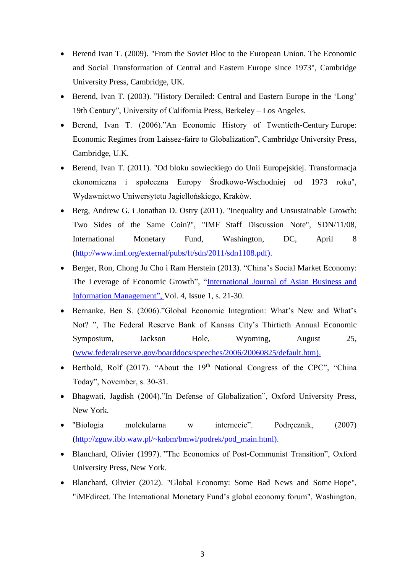- Berend Ivan T. (2009). "From the Soviet Bloc to the European Union. The Economic and Social Transformation of Central and Eastern Europe since 1973", Cambridge University Press, Cambridge, UK.
- Berend, Ivan T. (2003). "History Derailed: Central and Eastern Europe in the 'Long' 19th Century", University of California Press, Berkeley – Los Angeles.
- Berend, Ivan T. (2006)."An Economic History of Twentieth-Century Europe: Economic Regimes from Laissez-faire to Globalization", Cambridge University Press, Cambridge, U.K.
- Berend, Ivan T. (2011). "Od bloku sowieckiego do Unii Europejskiej. Transformacja ekonomiczna i społeczna Europy Środkowo-Wschodniej od 1973 roku", Wydawnictwo Uniwersytetu Jagiellońskiego, Kraków.
- Berg, Andrew G. i Jonathan D. Ostry (2011). "Inequality and Unsustainable Growth: Two Sides of the Same Coin?", "IMF Staff Discussion Note", SDN/11/08, International Monetary Fund, Washington, DC, April 8 [\(http://www.imf.org/external/pubs/ft/sdn/2011/sdn1108.pdf\).](http://www.imf.org/external/pubs/ft/sdn/2011/sdn1108.pdf))
- Berger, Ron, Chong Ju Cho i Ram Herstein (2013). "China's Social Market Economy: The Leverage of Economic Growth", ["International Journal of Asian Business and](https://www.igi-global.com/journal/international-journal-asian-business-information/1137)  [Information Management", V](https://www.igi-global.com/journal/international-journal-asian-business-information/1137)ol. 4, Issue 1, s. 21-30.
- Bernanke, Ben S. (2006)."Global Economic Integration: What's New and What's Not? ", The Federal Reserve Bank of Kansas City's Thirtieth Annual Economic Symposium, Jackson Hole, Wyoming, August 25, [\(www.federalreserve.gov/boarddocs/speeches/2006/20060825/default.htm\).](http://www.federalreserve.gov/boarddocs/speeches/2006/20060825/default.htm))
- Berthold, Rolf (2017). "About the  $19<sup>th</sup>$  National Congress of the CPC", "China Today", November, s. 30-31.
- Bhagwati, Jagdish (2004)."In Defense of Globalization", Oxford University Press, New York.
- "Biologia molekularna w internecie". Podręcznik, (2007) [\(http://zguw.ibb.waw.pl/~knbm/bmwi/podrek/pod\\_main.html\).](http://zguw.ibb.waw.pl/~knbm/bmwi/podrek/pod_main.html))
- Blanchard, Olivier (1997). "The Economics of Post-Communist Transition", Oxford University Press, New York.
- Blanchard, Olivier (2012). "Global Economy: Some Bad News and Some Hope", "iMFdirect. The International Monetary Fund's global economy forum", Washington,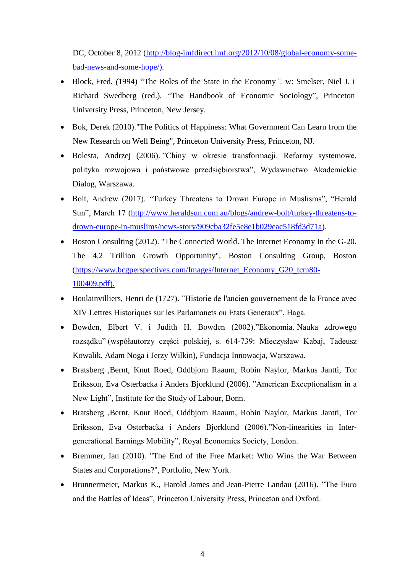DC, October 8, 2012 [\(http://blog-imfdirect.imf.org/2012/10/08/global-economy-some](http://blog-imfdirect.imf.org/2012/10/08/global-economy-some-bad-news-and-some-hope/))[bad-news-and-some-hope/\).](http://blog-imfdirect.imf.org/2012/10/08/global-economy-some-bad-news-and-some-hope/))

- Block*,* Fred*. (*1994) "The Roles of the State in the Economy*",* w: Smelser, Niel J. i Richard Swedberg (red.), "The Handbook of Economic Sociology", Princeton University Press, Princeton, New Jersey.
- Bok, Derek (2010). "The Politics of Happiness: What Government Can Learn from the New Research on Well Being", Princeton University Press, Princeton, NJ.
- Bolesta, Andrzej (2006). "Chiny w okresie transformacji. Reformy systemowe, polityka rozwojowa i państwowe przedsiębiorstwa", Wydawnictwo Akademickie Dialog, Warszawa.
- Bolt, Andrew (2017). "Turkey Threatens to Drown Europe in Muslisms", "Herald Sun", March 17 [\(http://www.heraldsun.com.au/blogs/andrew-bolt/turkey-threatens-to](http://www.heraldsun.com.au/blogs/andrew-bolt/turkey-threatens-to-drown-europe-in-muslims/news-story/909cba32fe5e8e1b029eac518fd3d71a)[drown-europe-in-muslims/news-story/909cba32fe5e8e1b029eac518fd3d71a\)](http://www.heraldsun.com.au/blogs/andrew-bolt/turkey-threatens-to-drown-europe-in-muslims/news-story/909cba32fe5e8e1b029eac518fd3d71a).
- Boston Consulting (2012). "The Connected World. The Internet Economy In the G-20. The 4.2 Trillion Growth Opportunity", Boston Consulting Group, Boston [\(https://www.bcgperspectives.com/Images/Internet\\_Economy\\_G20\\_tcm80-](https://www.bcgperspectives.com/Images/Internet_Economy_G20_tcm80-100409.pdf)) [100409.pdf\).](https://www.bcgperspectives.com/Images/Internet_Economy_G20_tcm80-100409.pdf))
- Boulainvilliers, Henri de (1727). "Historie de l'ancien gouvernement de la France avec XIV Lettres Historiques sur les Parlamanets ou Etats Generaux", Haga.
- Bowden, Elbert V. i Judith H. Bowden (2002)."Ekonomia. Nauka zdrowego rozsądku" (współautorzy części polskiej, s. 614-739: Mieczysław Kabaj, Tadeusz Kowalik, Adam Noga i Jerzy Wilkin), Fundacja Innowacja, Warszawa.
- Bratsberg ,Bernt, Knut Roed, Oddbjorn Raaum, Robin Naylor, Markus Jantti, Tor Eriksson, Eva Osterbacka i Anders Bjorklund (2006). "American Exceptionalism in a New Light", Institute for the Study of Labour, Bonn.
- Bratsberg ,Bernt, Knut Roed, Oddbjorn Raaum, Robin Naylor, Markus Jantti, Tor Eriksson, Eva Osterbacka i Anders Bjorklund (2006)."Non-linearities in Intergenerational Earnings Mobility", Royal Economics Society, London.
- Bremmer, Ian (2010). "The End of the Free Market: Who Wins the War Between States and Corporations?", Portfolio, New York.
- Brunnermeier, Markus K., Harold James and Jean-Pierre Landau (2016). "The Euro and the Battles of Ideas", Princeton University Press, Princeton and Oxford.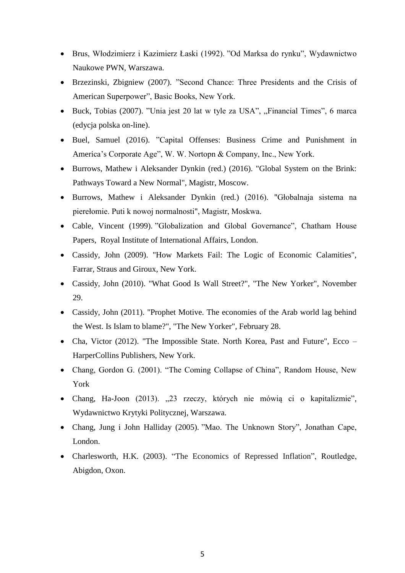- Brus, Włodzimierz i Kazimierz Łaski (1992). "Od Marksa do rynku", Wydawnictwo Naukowe PWN, Warszawa.
- Brzezinski, Zbigniew (2007). "Second Chance: Three Presidents and the Crisis of American Superpower", Basic Books, New York.
- Buck, Tobias (2007). "Unia jest 20 lat w tyle za USA", "Financial Times", 6 marca (edycja polska on-line).
- Buel, Samuel (2016). "Capital Offenses: Business Crime and Punishment in America's Corporate Age", W. W. Nortopn & Company, Inc., New York.
- Burrows, Mathew i Aleksander Dynkin (red.) (2016). "Global System on the Brink: Pathways Toward a New Normal", Magistr, Moscow.
- Burrows, Mathew i Aleksander Dynkin (red.) (2016). "Głobalnaja sistema na pierełomie. Puti k nowoj normalnosti", Magistr, Moskwa.
- Cable, Vincent (1999). "Globalization and Global Governance", Chatham House Papers, Royal Institute of International Affairs, London.
- Cassidy, John (2009). "How Markets Fail: The Logic of Economic Calamities", Farrar, Straus and Giroux, New York.
- Cassidy, John (2010). "What Good Is Wall Street?", "The New Yorker", November 29.
- Cassidy, John (2011). "Prophet Motive. The economies of the Arab world lag behind the West. Is Islam to blame?", "The New Yorker", February 28.
- Cha, Victor (2012). "The Impossible State. North Korea, Past and Future", Ecco HarperCollins Publishers, New York.
- Chang, Gordon G. (2001). "The Coming Collapse of China", Random House, New York
- Chang, Ha-Joon (2013). "23 rzeczy, których nie mówią ci o kapitalizmie", Wydawnictwo Krytyki Politycznej, Warszawa.
- Chang, Jung i John Halliday (2005). "Mao. The Unknown Story", Jonathan Cape, London.
- Charlesworth, H.K. (2003). "The Economics of Repressed Inflation", Routledge, Abigdon, Oxon.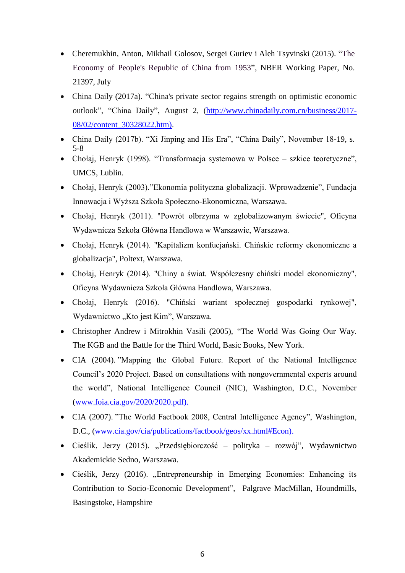- [Cheremukhin,](http://www.nber.org/people/anton_cheremukhin) Anton, [Mikhail Golosov,](http://www.nber.org/people/mikhail_golosov) [Sergei Guriev](http://www.nber.org/people/sergei_guriev) i [Aleh Tsyvinski](http://www.nber.org/people/aleh_tsyvinski) (2015). "The Economy of People's Republic of China from 1953", NBER Working Paper, No. 21397, July
- China Daily (2017a). "China's private sector regains strength on optimistic economic outlook", "China Daily", August 2, [\(http://www.chinadaily.com.cn/business/2017-](http://www.chinadaily.com.cn/business/2017-08/02/content_30328022.htm)) [08/02/content\\_30328022.htm\).](http://www.chinadaily.com.cn/business/2017-08/02/content_30328022.htm))
- China Daily (2017b). "Xi Jinping and His Era", "China Daily", November 18-19, s. 5-8
- Chołaj, Henryk (1998). "Transformacja systemowa w Polsce szkice teoretyczne", UMCS, Lublin.
- Chołaj, Henryk (2003)."Ekonomia polityczna globalizacji. Wprowadzenie", Fundacja Innowacja i Wyższa Szkoła Społeczno-Ekonomiczna, Warszawa.
- Chołaj, Henryk (2011). "Powrót olbrzyma w zglobalizowanym świecie", Oficyna Wydawnicza Szkoła Główna Handlowa w Warszawie, Warszawa.
- Chołaj, Henryk (2014). "Kapitalizm konfucjański. Chińskie reformy ekonomiczne a globalizacja", Poltext, Warszawa.
- Chołaj, Henryk (2014). "Chiny a świat. Współczesny chiński model ekonomiczny", Oficyna Wydawnicza Szkoła Główna Handlowa, Warszawa.
- Chołaj, Henryk (2016). "Chiński wariant społecznej gospodarki rynkowej", Wydawnictwo "Kto jest Kim", Warszawa.
- Christopher Andrew i Mitrokhin Vasili (2005), "The World Was Going Our Way. The KGB and the Battle for the Third World, Basic Books, New York.
- CIA (2004). "Mapping the Global Future. Report of the National Intelligence Council's 2020 Project. Based on consultations with nongovernmental experts around the world", National Intelligence Council (NIC), Washington, D.C., November [\(www.foia.cia.gov/2020/2020.pdf\).](http://www.foia.cia.gov/2020/2020.pdf))
- CIA (2007). "The World Factbook 2008, Central Intelligence Agency", Washington, D.C., [\(www.cia.gov/cia/publications/factbook/geos/xx.html#Econ\).](http://www.cia.gov/cia/publications/factbook/geos/xx.html#Econ))
- Cieślik, Jerzy (2015). "Przedsiębiorczość polityka rozwój", Wydawnictwo Akademickie Sedno, Warszawa.
- Cieślik, Jerzy (2016). "Entrepreneurship in Emerging Economies: Enhancing its Contribution to Socio-Economic Development", Palgrave MacMillan, Houndmills, Basingstoke, Hampshire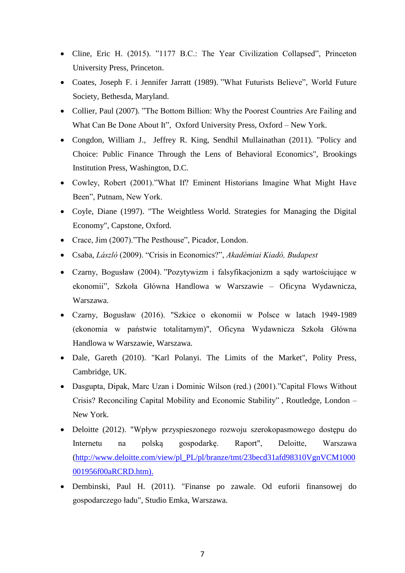- [Cline,](https://www.amazon.com/Eric-H.-Cline/e/B001HCVOR8/ref=dp_byline_cont_book_1) Eric H. (2015). "1177 B.C.: The Year Civilization Collapsed", Princeton University Press, Princeton.
- Coates, Joseph F. i Jennifer Jarratt (1989). "What Futurists Believe", World Future Society, Bethesda, Maryland.
- Collier, Paul (2007). "The Bottom Billion: Why the Poorest Countries Are Failing and What Can Be Done About It", Oxford University Press, Oxford – New York.
- Congdon, William J., Jeffrey R. King, Sendhil Mullainathan (2011). "Policy and Choice: Public Finance Through the Lens of Behavioral Economics", Brookings Institution Press, Washington, D.C.
- Cowley, Robert (2001)."What If? Eminent Historians Imagine What Might Have Been", Putnam, New York.
- Coyle, Diane (1997). "The Weightless World. Strategies for Managing the Digital Economy", Capstone, Oxford.
- Crace, Jim (2007)."The Pesthouse", Picador, London.
- Csaba, *László* (2009). "Crisis in Economics?", *Akadémiai Kiadó, Budapest*
- Czarny, Bogusław (2004). "Pozytywizm i falsyfikacjonizm a sądy wartościujące w ekonomii", Szkoła Główna Handlowa w Warszawie – Oficyna Wydawnicza, Warszawa.
- Czarny, Bogusław (2016). "Szkice o ekonomii w Polsce w latach 1949-1989 (ekonomia w państwie totalitarnym)", Oficyna Wydawnicza Szkoła Główna Handlowa w Warszawie, Warszawa.
- Dale, Gareth (2010). "Karl Polanyi. The Limits of the Market", Polity Press, Cambridge, UK.
- Dasgupta, Dipak, Marc Uzan i Dominic Wilson (red.) (2001)."Capital Flows Without Crisis? Reconciling Capital Mobility and Economic Stability" , Routledge, London – New York.
- Deloitte (2012). "Wpływ przyspieszonego rozwoju szerokopasmowego dostępu do Internetu na polską gospodarkę. Raport", Deloitte, Warszawa [\(http://www.deloitte.com/view/pl\\_PL/pl/branze/tmt/23becd31afd98310VgnVCM1000](http://www.deloitte.com/view/pl_PL/pl/branze/tmt/23becd31afd98310VgnVCM1000001956f00aRCRD.htm)) [001956f00aRCRD.htm\).](http://www.deloitte.com/view/pl_PL/pl/branze/tmt/23becd31afd98310VgnVCM1000001956f00aRCRD.htm))
- Dembinski, Paul H. (2011). "Finanse po zawale. Od euforii finansowej do gospodarczego ładu", Studio Emka, Warszawa.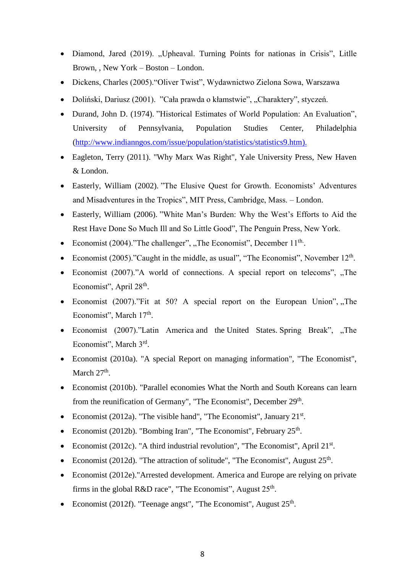- Diamond, Jared (2019). "Upheaval. Turning Points for nationas in Crisis", Litlle Brown, , New York – Boston – London.
- Dickens, Charles (2005)."Oliver Twist", Wydawnictwo Zielona Sowa, Warszawa
- Doliński, Dariusz (2001). "Cała prawda o kłamstwie", "Charaktery", styczeń.
- Durand, John D. (1974). "Historical Estimates of World Population: An Evaluation", University of Pennsylvania, Population Studies Center, Philadelphia [\(http://www.indianngos.com/issue/population/statistics/statistics9.htm\).](http://www.indianngos.com/issue/population/statistics/statistics9.htm))
- Eagleton, Terry (2011). "Why Marx Was Right", Yale University Press, New Haven & London.
- Easterly, William (2002). "The Elusive Quest for Growth. Economists' Adventures and Misadventures in the Tropics", MIT Press, Cambridge, Mass. – London.
- Easterly, William (2006). "White Man's Burden: Why the West's Efforts to Aid the Rest Have Done So Much Ill and So Little Good", The Penguin Press, New York.
- Economist (2004)."The challenger", "The Economist", December  $11<sup>th</sup>$ .
- Economist (2005)."Caught in the middle, as usual", "The Economist", November 12<sup>th</sup>.
- Economist  $(2007)$ ."A world of connections. A special report on telecoms", "The Economist", April 28<sup>th</sup>.
- Economist  $(2007)$ . Fit at 50? A special report on the European Union", "The Economist", March 17<sup>th</sup>.
- Economist (2007)."Latin America and the United States. Spring Break", "The Economist", March 3rd.
- Economist (2010a). "A special Report on managing information", "The Economist", March  $27<sup>th</sup>$ .
- Economist (2010b). "Parallel economies What the North and South Koreans can learn from the reunification of Germany", "The Economist", December 29<sup>th</sup>.
- Economist (2012a). "The visible hand", "The Economist", January  $21^{st}$ .
- Economist (2012b). "Bombing Iran", "The Economist", February  $25<sup>th</sup>$ .
- Economist (2012c). "A third industrial revolution", "The Economist", April 21<sup>st</sup>.
- Economist (2012d). "The attraction of solitude", "The Economist", August 25<sup>th</sup>.
- Economist (2012e)."Arrested development. America and Europe are relying on private firms in the global R&D race", "The Economist", August  $25<sup>th</sup>$ .
- Economist (2012f). "Teenage angst", "The Economist", August  $25<sup>th</sup>$ .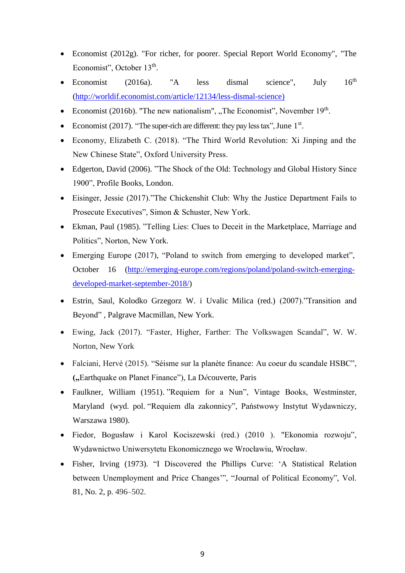- Economist (2012g). "For richer, for poorer. Special Report World Economy", "The Economist", October 13<sup>th</sup>.
- Economist (2016a). "A less dismal science", July  $16<sup>th</sup>$ [\(http://worldif.economist.com/article/12134/less-dismal-science\)](http://worldif.economist.com/article/12134/less-dismal-science))
- Economist (2016b). "The new nationalism", "The Economist", November  $19<sup>th</sup>$ .
- Economist (2017). "The super-rich are different: they pay less tax", June 1<sup>st</sup>.
- Economy, Elizabeth C. (2018). "The Third World Revolution: Xi Jinping and the New Chinese State", Oxford University Press.
- Edgerton, David (2006). "The Shock of the Old: Technology and Global History Since 1900", Profile Books, London.
- Eisinger, Jessie (2017)."The Chickenshit Club: Why the Justice Department Fails to Prosecute Executives", Simon & Schuster, New York.
- Ekman, Paul (1985). "Telling Lies: Clues to Deceit in the Marketplace, Marriage and Politics", Norton, New York.
- Emerging Europe (2017), "Poland to switch from emerging to developed market", October 16 [\(http://emerging-europe.com/regions/poland/poland-switch-emerging](http://emerging-europe.com/regions/poland/poland-switch-emerging-developed-market-september-2018/)[developed-market-september-2018/\)](http://emerging-europe.com/regions/poland/poland-switch-emerging-developed-market-september-2018/)
- Estrin, Saul, Kolodko Grzegorz W. i Uvalic Milica (red.) (2007)."Transition and Beyond" , Palgrave Macmillan, New York.
- Ewing, Jack (2017). "Faster, Higher, Farther: The Volkswagen Scandal", W. W. Norton, New York
- Falciani, Hervé (2015). "Séisme sur la planète finance: Au coeur du scandale HSBC", **(**"Earthquake on Planet Finance"), La Découverte, Paris
- Faulkner, William (1951). "Requiem for a Nun", Vintage Books, Westminster, Maryland (wyd. pol. "Requiem dla zakonnicy", Państwowy Instytut Wydawniczy, Warszawa 1980).
- Fiedor, Bogusław i Karol Kociszewski (red.) (2010 ). "Ekonomia rozwoju", Wydawnictwo Uniwersytetu Ekonomicznego we Wrocławiu, Wrocław.
- Fisher, Irving (1973). "I Discovered the Phillips Curve: 'A Statistical Relation between Unemployment and Price Changes'", "Journal of Political Economy", Vol. 81, No. 2, p. 496–502.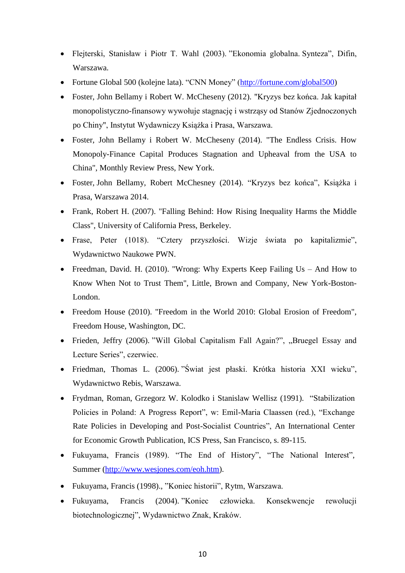- Flejterski, Stanisław i Piotr T. Wahl (2003). "Ekonomia globalna. Synteza", Difin, Warszawa.
- Fortune Global 500 (kolejne lata). "CNN Money" [\(http://fortune.com/global500\)](http://fortune.com/global500)
- Foster, John Bellamy i Robert W. McCheseny (2012). "Kryzys bez końca. Jak kapitał monopolistyczno-finansowy wywołuje stagnację i wstrząsy od Stanów Zjednoczonych po Chiny", Instytut Wydawniczy Książka i Prasa, Warszawa.
- Foster, John Bellamy i Robert W. McCheseny (2014). "The Endless Crisis. How Monopoly-Finance Capital Produces Stagnation and Upheaval from the USA to China", Monthly Review Press, New York.
- Foster, John Bellamy, Robert McChesney (2014). "Kryzys bez końca", Książka i Prasa, Warszawa 2014.
- Frank, Robert H. (2007). "Falling Behind: How Rising Inequality Harms the Middle Class", University of California Press, Berkeley.
- Frase, Peter (1018). "Cztery przyszłości. Wizje świata po kapitalizmie", Wydawnictwo Naukowe PWN.
- Freedman, David. H. (2010). "Wrong: Why Experts Keep Failing Us And How to Know When Not to Trust Them", Little, Brown and Company, New York-Boston-London.
- Freedom House (2010). "Freedom in the World 2010: Global Erosion of Freedom", Freedom House, Washington, DC.
- Frieden, Jeffry (2006). "Will Global Capitalism Fall Again?", "Bruegel Essay and Lecture Series", czerwiec.
- Friedman, Thomas L. (2006). "Świat jest płaski. Krótka historia XXI wieku", Wydawnictwo Rebis, Warszawa.
- Frydman, Roman, Grzegorz W. Kolodko i Stanislaw Wellisz (1991). "Stabilization Policies in Poland: A Progress Report", w: Emil-Maria Claassen (red.), "Exchange Rate Policies in Developing and Post-Socialist Countries", An International Center for Economic Growth Publication, ICS Press, San Francisco, s. 89-115.
- Fukuyama, Francis (1989). "The End of History", "The National Interest", Summer [\(http://www.wesjones.com/eoh.htm\)](http://www.wesjones.com/eoh.htm).
- Fukuyama, Francis (1998)., "Koniec historii", Rytm, Warszawa.
- Fukuyama, Francis (2004). "Koniec człowieka. Konsekwencje rewolucji biotechnologicznej", Wydawnictwo Znak, Kraków.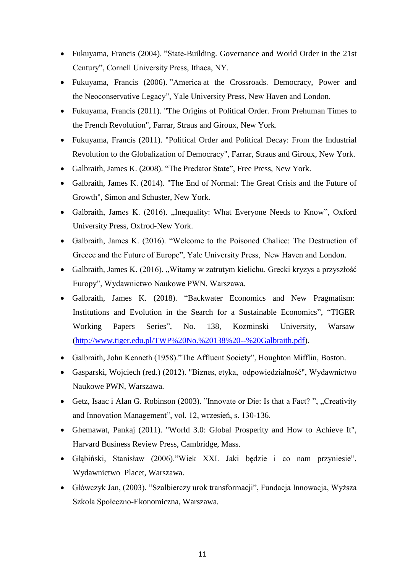- Fukuyama, Francis (2004). "State-Building. Governance and World Order in the 21st Century", Cornell University Press, Ithaca, NY.
- Fukuyama, Francis (2006). "America at the Crossroads. Democracy, Power and the Neoconservative Legacy", Yale University Press, New Haven and London.
- Fukuyama, Francis (2011). "The Origins of Political Order. From Prehuman Times to the French Revolution", Farrar, Straus and Giroux, New York.
- Fukuyama, Francis (2011). "Political Order and Political Decay: From the Industrial Revolution to the Globalization of Democracy", Farrar, Straus and Giroux, New York.
- Galbraith, James K. (2008). "The Predator State", Free Press, New York.
- Galbraith, James K. (2014). "The End of Normal: The Great Crisis and the Future of Growth", Simon and Schuster, New York.
- Galbraith, James K. (2016). "Inequality: What Everyone Needs to Know", Oxford University Press, Oxfrod-New York.
- Galbraith, James K. (2016). "Welcome to the Poisoned Chalice: The Destruction of Greece and the Future of Europe", Yale University Press, New Haven and London.
- Galbraith, James K. (2016). "Witamy w zatrutym kielichu. Grecki kryzys a przyszłość Europy", Wydawnictwo Naukowe PWN, Warszawa.
- Galbraith, James K. (2018). "Backwater Economics and New Pragmatism: Institutions and Evolution in the Search for a Sustainable Economics", "TIGER Working Papers Series", No. 138, Kozminski University, Warsaw [\(http://www.tiger.edu.pl/TWP%20No.%20138%20--%20Galbraith.pdf\)](http://www.tiger.edu.pl/TWP%20No.%20138%20--%20Galbraith.pdf).
- Galbraith, John Kenneth (1958)."The Affluent Society", Houghton Mifflin, Boston.
- Gasparski, Wojciech (red.) (2012). "Biznes, etyka, odpowiedzialność", Wydawnictwo Naukowe PWN, Warszawa.
- Getz, Isaac i Alan G. Robinson (2003). "Innovate or Die: Is that a Fact? ", "Creativity and Innovation Management", vol. 12, wrzesień, s. 130-136.
- Ghemawat, Pankaj (2011). "World 3.0: Global Prosperity and How to Achieve It", Harvard Business Review Press, Cambridge, Mass.
- Głąbiński, Stanisław (2006)."Wiek XXI. Jaki będzie i co nam przyniesie", Wydawnictwo Placet, Warszawa.
- Główczyk Jan, (2003). "Szalbierczy urok transformacji", Fundacja Innowacja, Wyższa Szkoła Społeczno-Ekonomiczna, Warszawa.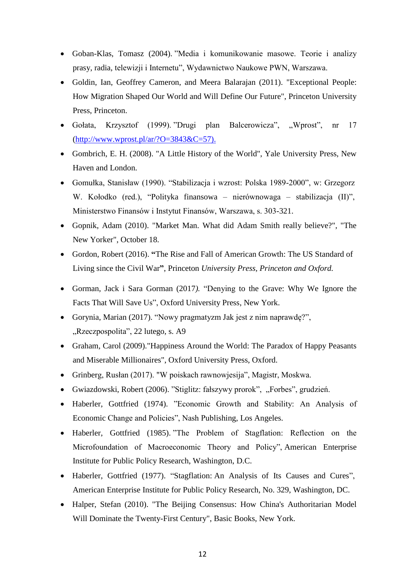- Goban-Klas, Tomasz (2004). "Media i komunikowanie masowe. Teorie i analizy prasy, radia, telewizji i Internetu", Wydawnictwo Naukowe PWN, Warszawa.
- Goldin, Ian, Geoffrey Cameron, and Meera Balarajan (2011). "Exceptional People: How Migration Shaped Our World and Will Define Our Future", Princeton University Press, Princeton.
- Gołata, Krzysztof (1999). "Drugi plan Balcerowicza", "Wprost", nr 17  $(\text{http://www.wprost.pl/ar/?O=3843&C=57}).$
- Gombrich, E. H. (2008). "A Little History of the World", Yale University Press, New Haven and London.
- Gomułka, Stanisław (1990). "Stabilizacja i wzrost: Polska 1989-2000", w: Grzegorz W. Kołodko (red.), "Polityka finansowa – nierównowaga – stabilizacja (II)", Ministerstwo Finansów i Instytut Finansów, Warszawa, s. 303-321.
- Gopnik, Adam (2010). "Market Man. What did Adam Smith really believe?", "The New Yorker", October 18.
- Gordon, Robert (2016). **"**The Rise and Fall of American Growth: The US Standard of Living since the Civil War**"**, Princeton *University Press, Princeton and Oxford.*
- Gorman, Jack i Sara Gorman (2017*).* "Denying to the Grave: Why We Ignore the Facts That Will Save Us", Oxford University Press, New York.
- Gorynia, Marian (2017). "Nowy pragmatyzm Jak jest z nim naprawdę?", "Rzeczpospolita", 22 lutego, s. A9
- Graham, Carol (2009). "Happiness Around the World: The Paradox of Happy Peasants and Miserable Millionaires", Oxford University Press, Oxford.
- Grinberg, Rusłan (2017). "W poiskach rawnowjesija", Magistr, Moskwa.
- Gwiazdowski, Robert (2006). "Stiglitz: fałszywy prorok", "Forbes", grudzień.
- Haberler, Gottfried (1974). "Economic Growth and Stability: An Analysis of Economic Change and Policies", Nash Publishing, Los Angeles.
- Haberler, Gottfried (1985). "The Problem of Stagflation: Reflection on the Microfoundation of Macroeconomic Theory and Policy", American Enterprise Institute for Public Policy Research, Washington, D.C.
- Haberler, Gottfried (1977). "Stagflation: An Analysis of Its Causes and Cures", American Enterprise Institute for Public Policy Research, No. 329, Washington, DC.
- Halper, Stefan (2010). "The Beijing Consensus: How China's Authoritarian Model Will Dominate the Twenty-First Century", Basic Books, New York.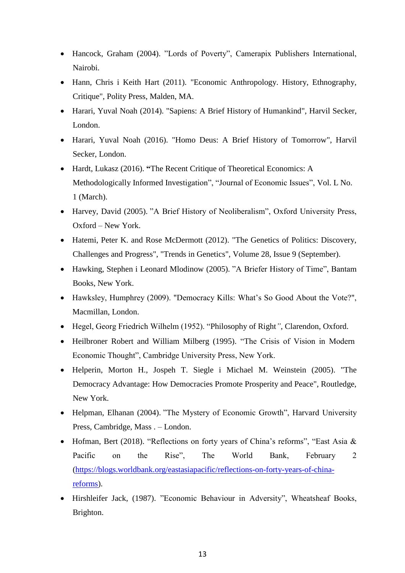- Hancock, Graham (2004). "Lords of Poverty", Camerapix Publishers International, Nairobi.
- Hann, Chris i Keith Hart (2011). "Economic Anthropology. History, Ethnography, Critique", Polity Press, Malden, MA.
- Harari, Yuval Noah (2014). "Sapiens: A Brief History of Humankind", Harvil Secker, London.
- Harari, Yuval Noah (2016). "Homo Deus: A Brief History of Tomorrow", Harvil Secker, London.
- Hardt, Lukasz (2016). **"**The Recent Critique of Theoretical Economics: A Methodologically Informed Investigation", "Journal of Economic Issues", Vol. L No. 1 (March).
- Harvey, David (2005). "A Brief History of Neoliberalism", Oxford University Press, Oxford – New York.
- Hatemi, Peter K. and Rose McDermott (2012). "The Genetics of Politics: Discovery, Challenges and Progress", "Trends in Genetics", Volume 28, Issue 9 (September).
- Hawking, Stephen i Leonard Mlodinow (2005). "A Briefer History of Time", Bantam Books, New York.
- Hawksley, Humphrey (2009). "Democracy Kills: What's So Good About the Vote?", Macmillan, London.
- Hegel, Georg Friedrich Wilhelm (1952). "Philosophy of Right*"*, Clarendon, Oxford.
- Heilbroner Robert and William Milberg (1995). "The Crisis of Vision in Modern Economic Thought", Cambridge University Press, New York.
- Helperin, Morton H., Jospeh T. Siegle i Michael M. Weinstein (2005). "The Democracy Advantage: How Democracies Promote Prosperity and Peace", Routledge, New York.
- Helpman, Elhanan (2004). "The Mystery of Economic Growth", Harvard University Press, Cambridge, Mass . – London.
- Hofman, Bert (2018). "Reflections on forty years of China's reforms", "East Asia & Pacific on the Rise", The World Bank, February 2 [\(https://blogs.worldbank.org/eastasiapacific/reflections-on-forty-years-of-china](https://blogs.worldbank.org/eastasiapacific/reflections-on-forty-years-of-china-reforms)[reforms\)](https://blogs.worldbank.org/eastasiapacific/reflections-on-forty-years-of-china-reforms).
- Hirshleifer Jack, (1987). "Economic Behaviour in Adversity", Wheatsheaf Books, Brighton.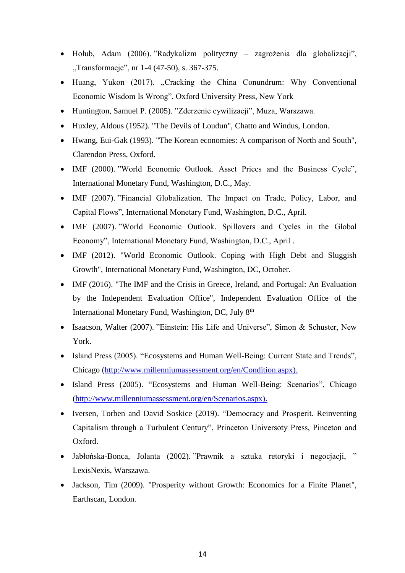- Hołub, Adam (2006). "Radykalizm polityczny zagrożenia dla globalizacji", "Transformacje", nr 1-4 (47-50), s. 367-375.
- Huang, Yukon (2017). "Cracking the China Conundrum: Why Conventional Economic Wisdom Is Wrong", Oxford University Press, New York
- Huntington, Samuel P. (2005). "Zderzenie cywilizacji", Muza, Warszawa.
- Huxley, Aldous (1952). "The Devils of Loudun", Chatto and Windus, London.
- Hwang, Eui-Gak (1993). "The Korean economies: A comparison of North and South", Clarendon Press, Oxford.
- IMF (2000). "World Economic Outlook. Asset Prices and the Business Cycle", International Monetary Fund, Washington, D.C., May.
- IMF (2007). "Financial Globalization. The Impact on Trade, Policy, Labor, and Capital Flows", International Monetary Fund, Washington, D.C., April.
- IMF (2007). "World Economic Outlook. Spillovers and Cycles in the Global Economy", International Monetary Fund, Washington, D.C., April .
- IMF (2012). "World Economic Outlook. Coping with High Debt and Sluggish Growth", International Monetary Fund, Washington, DC, October.
- IMF (2016). "The IMF and the Crisis in Greece, Ireland, and Portugal: An Evaluation by the Independent Evaluation Office", Independent Evaluation Office of the International Monetary Fund, Washington, DC, July 8<sup>th</sup>
- Isaacson, Walter (2007). "Einstein: His Life and Universe", Simon & Schuster, New York.
- Island Press (2005). "Ecosystems and Human Well-Being: Current State and Trends", Chicago [\(http://www.millenniumassessment.org/en/Condition.aspx\).](http://www.millenniumassessment.org/en/Condition.aspx))
- Island Press (2005). "Ecosystems and Human Well-Being: Scenarios", Chicago [\(http://www.millenniumassessment.org/en/Scenarios.aspx\).](http://www.millenniumassessment.org/en/Scenarios.aspx))
- Iversen, Torben and David Soskice (2019). "Democracy and Prosperit. Reinventing Capitalism through a Turbulent Century", Princeton Universoty Press, Pinceton and Oxford.
- Jabłońska-Bonca, Jolanta (2002). "Prawnik a sztuka retoryki i negocjacji, " LexisNexis, Warszawa.
- Jackson, Tim (2009). "Prosperity without Growth: Economics for a Finite Planet", Earthscan, London.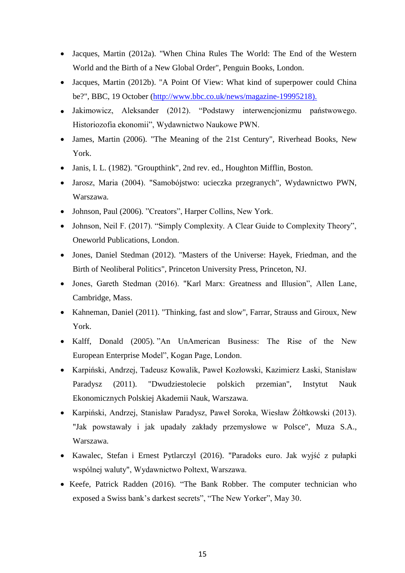- Jacques, Martin (2012a). "When China Rules The World: The End of the Western World and the Birth of a New Global Order", Penguin Books, London.
- Jacques, Martin (2012b). "A Point Of View: What kind of superpower could China be?", BBC, 19 October [\(http://www.bbc.co.uk/news/magazine-19995218\).](http://www.bbc.co.uk/news/magazine-19995218))
- Jakimowicz, Aleksander (2012). "Podstawy interwencjonizmu państwowego. Historiozofia ekonomii", Wydawnictwo Naukowe PWN.
- James, Martin (2006). "The Meaning of the 21st Century", Riverhead Books, New York.
- Janis, I. L. (1982). "Groupthink", 2nd rev. ed., Houghton Mifflin, Boston.
- Jarosz, Maria (2004). "Samobójstwo: ucieczka przegranych", Wydawnictwo PWN, Warszawa.
- Johnson, Paul (2006). "Creators", Harper Collins, New York.
- Johnson, Neil F. (2017). "Simply Complexity. A Clear Guide to Complexity Theory", Oneworld Publications, London.
- Jones, Daniel Stedman (2012). "Masters of the Universe: Hayek, Friedman, and the Birth of Neoliberal Politics", Princeton University Press, Princeton, NJ.
- Jones, Gareth Stedman (2016). "Karl Marx: Greatness and Illusion", Allen Lane, Cambridge, Mass.
- Kahneman, Daniel (2011). "Thinking, fast and slow", Farrar, Strauss and Giroux, New York.
- Kalff, Donald (2005). "An UnAmerican Business: The Rise of the New European Enterprise Model", Kogan Page, London.
- Karpiński, Andrzej, Tadeusz Kowalik, Paweł Kozłowski, Kazimierz Łaski, Stanisław Paradysz (2011). "Dwudziestolecie polskich przemian", Instytut Nauk Ekonomicznych Polskiej Akademii Nauk, Warszawa.
- Karpiński, Andrzej, Stanisław Paradysz, Paweł Soroka, Wiesław Żółtkowski (2013). "Jak powstawały i jak upadały zakłady przemysłowe w Polsce", Muza S.A., Warszawa.
- Kawalec, Stefan i Ernest Pytlarczyl (2016). "Paradoks euro. Jak wyjść z pułapki wspólnej waluty", Wydawnictwo Poltext, Warszawa.
- Keefe, Patrick Radden (2016). "The Bank Robber. The computer technician who exposed a Swiss bank's darkest secrets", "The New Yorker", May 30.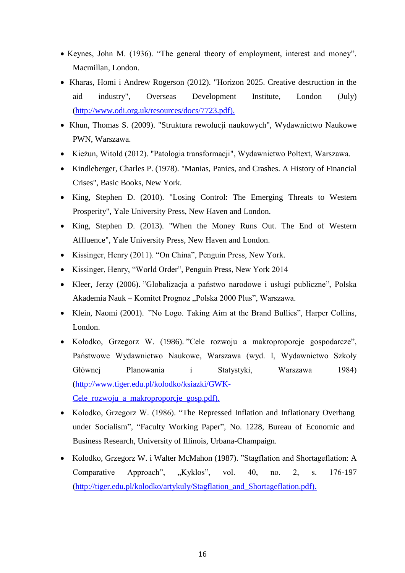- Keynes, John M. (1936). "The general theory of employment, interest and money", Macmillan, London.
- Kharas, Homi i Andrew Rogerson (2012). "Horizon 2025. Creative destruction in the aid industry", Overseas Development Institute, London (July) [\(http://www.odi.org.uk/resources/docs/7723.pdf\).](http://www.odi.org.uk/resources/docs/7723.pdf))
- Khun, Thomas S. (2009). "Struktura rewolucji naukowych", Wydawnictwo Naukowe PWN, Warszawa.
- Kieżun, Witold (2012). "Patologia transformacji", Wydawnictwo Poltext, Warszawa.
- Kindleberger, Charles P. (1978). "Manias, Panics, and Crashes. A History of Financial Crises", Basic Books, New York.
- King, Stephen D. (2010). "Losing Control: The Emerging Threats to Western Prosperity", Yale University Press, New Haven and London.
- King, Stephen D. (2013). "When the Money Runs Out. The End of Western Affluence", Yale University Press, New Haven and London.
- Kissinger, Henry (2011). "On China", Penguin Press, New York.
- Kissinger, Henry, "World Order", Penguin Press, New York 2014
- Kleer, Jerzy (2006). "Globalizacja a państwo narodowe i usługi publiczne", Polska Akademia Nauk – Komitet Prognoz "Polska 2000 Plus", Warszawa.
- Klein, Naomi (2001). "No Logo. Taking Aim at the Brand Bullies", Harper Collins, London.
- Kołodko, Grzegorz W. (1986). "Cele rozwoju a makroproporcje gospodarcze", Państwowe Wydawnictwo Naukowe, Warszawa (wyd. I, Wydawnictwo Szkoły Głównej Planowania i Statystyki, Warszawa 1984) [\(http://www.tiger.edu.pl/kolodko/ksiazki/GWK-](http://www.tiger.edu.pl/kolodko/ksiazki/GWK-Cele_rozwoju_a_makroproporcje_gosp.pdf))[Cele\\_rozwoju\\_a\\_makroproporcje\\_gosp.pdf\).](http://www.tiger.edu.pl/kolodko/ksiazki/GWK-Cele_rozwoju_a_makroproporcje_gosp.pdf))
- Kolodko, Grzegorz W. (1986). "The Repressed Inflation and Inflationary Overhang under Socialism", "Faculty Working Paper", No. 1228, Bureau of Economic and Business Research, University of Illinois, Urbana-Champaign.
- Kolodko, Grzegorz W. i Walter McMahon (1987). "Stagflation and Shortageflation: A Comparative Approach", "Kyklos", vol. 40, no. 2, s. 176-197 [\(http://tiger.edu.pl/kolodko/artykuly/Stagflation\\_and\\_Shortageflation.pdf\).](http://tiger.edu.pl/kolodko/artykuly/Stagflation_and_Shortageflation.pdf))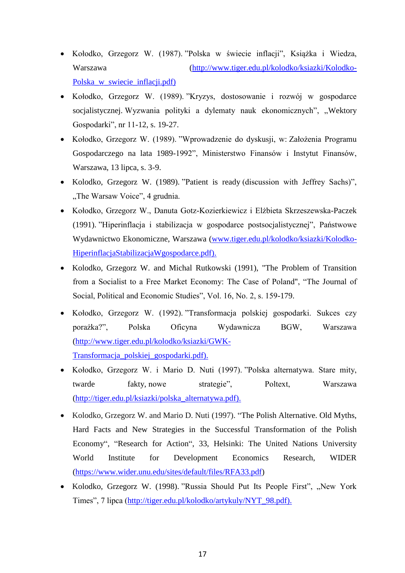- Kołodko, Grzegorz W. (1987). "Polska w świecie inflacji", Książka i Wiedza, Warszawa [\(http://www.tiger.edu.pl/kolodko/ksiazki/Kolodko-](http://www.tiger.edu.pl/kolodko/ksiazki/Kolodko-Polska_w_swiecie_inflacji.pdf))[Polska\\_w\\_swiecie\\_inflacji.pdf\)](http://www.tiger.edu.pl/kolodko/ksiazki/Kolodko-Polska_w_swiecie_inflacji.pdf))
- Kołodko, Grzegorz W. (1989). "Kryzys, dostosowanie i rozwój w gospodarce socjalistycznej. Wyzwania polityki a dylematy nauk ekonomicznych", "Wektory Gospodarki", nr 11-12, s. 19-27.
- Kołodko, Grzegorz W. (1989). "Wprowadzenie do dyskusji, w: Założenia Programu Gospodarczego na lata 1989-1992", Ministerstwo Finansów i Instytut Finansów, Warszawa, 13 lipca, s. 3-9.
- Kolodko, Grzegorz W. (1989). "Patient is ready (discussion with Jeffrey Sachs)", "The Warsaw Voice", 4 grudnia.
- Kołodko, Grzegorz W., Danuta Gotz-Kozierkiewicz i Elżbieta Skrzeszewska-Paczek (1991). "Hiperinflacja i stabilizacja w gospodarce postsocjalistycznej", Państwowe Wydawnictwo Ekonomiczne, Warszawa [\(www.tiger.edu.pl/kolodko/ksiazki/Kolodko-](http://www.tiger.edu.pl/kolodko/ksiazki/Kolodko-HiperinflacjaStabilizacjaWgospodarce.pdf))[HiperinflacjaStabilizacjaWgospodarce.pdf\).](http://www.tiger.edu.pl/kolodko/ksiazki/Kolodko-HiperinflacjaStabilizacjaWgospodarce.pdf))
- Kolodko, Grzegorz W. and Michal Rutkowski (1991), "The Problem of Transition from a Socialist to a Free Market Economy: The Case of Poland", "The Journal of Social, Political and Economic Studies", Vol. 16, No. 2, s. 159-179.
- Kołodko, Grzegorz W. (1992). "Transformacja polskiej gospodarki. Sukces czy porażka?", Polska Oficyna Wydawnicza BGW, Warszawa [\(http://www.tiger.edu.pl/kolodko/ksiazki/GWK-](http://www.tiger.edu.pl/kolodko/ksiazki/GWK-Transformacja_polskiej_gospodarki.pdf))[Transformacja\\_polskiej\\_gospodarki.pdf\).](http://www.tiger.edu.pl/kolodko/ksiazki/GWK-Transformacja_polskiej_gospodarki.pdf))
- Kołodko, Grzegorz W. i Mario D. Nuti (1997). "Polska alternatywa. Stare mity, twarde fakty, nowe strategie", Poltext, Warszawa [\(http://tiger.edu.pl/ksiazki/polska\\_alternatywa.pdf\).](http://tiger.edu.pl/ksiazki/polska_alternatywa.pdf))
- Kolodko, Grzegorz W. and Mario D. Nuti (1997). "The Polish Alternative. Old Myths, Hard Facts and New Strategies in the Successful Transformation of the Polish Economy", "Research for Action", 33, Helsinki: The United Nations University World Institute for Development Economics Research, WIDER [\(https://www.wider.unu.edu/sites/default/files/RFA33.pdf\)](https://www.wider.unu.edu/sites/default/files/RFA33.pdf)
- Kolodko, Grzegorz W. (1998). "Russia Should Put Its People First", "New York Times", 7 lipca [\(http://tiger.edu.pl/kolodko/artykuly/NYT\\_98.pdf\).](http://tiger.edu.pl/kolodko/artykuly/NYT_98.pdf))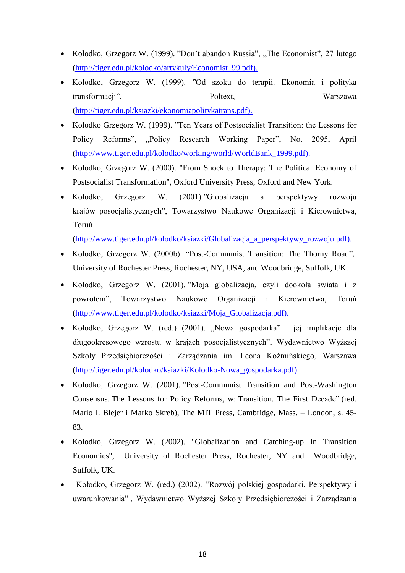- Kolodko, Grzegorz W. (1999). "Don't abandon Russia", "The Economist", 27 lutego [\(http://tiger.edu.pl/kolodko/artykuly/Economist\\_99.pdf\).](http://tiger.edu.pl/kolodko/artykuly/Economist_99.pdf))
- Kołodko, Grzegorz W. (1999). "Od szoku do terapii. Ekonomia i polityka transformacji", Poltext, Warszawa [\(http://tiger.edu.pl/ksiazki/ekonomiapolitykatrans.pdf\).](http://tiger.edu.pl/ksiazki/ekonomiapolitykatrans.pdf))
- Kolodko Grzegorz W. (1999). "Ten Years of Postsocialist Transition: the Lessons for Policy Reforms", "Policy Research Working Paper", No. 2095, April [\(http://www.tiger.edu.pl/kolodko/working/world/WorldBank\\_1999.pdf\).](http://www.tiger.edu.pl/kolodko/working/world/WorldBank_1999.pdf))
- Kolodko, Grzegorz W. (2000). "From Shock to Therapy: The Political Economy of Postsocialist Transformation", Oxford University Press, Oxford and New York.
- Kołodko, Grzegorz W. (2001)."Globalizacja a perspektywy rozwoju krajów posocjalistycznych", Towarzystwo Naukowe Organizacji i Kierownictwa, Toruń

[\(http://www.tiger.edu.pl/kolodko/ksiazki/Globalizacja\\_a\\_perspektywy\\_rozwoju.pdf\).](http://www.tiger.edu.pl/kolodko/ksiazki/Globalizacja_a_perspektywy_rozwoju.pdf))

- Kolodko, Grzegorz W. (2000b). "Post-Communist Transition: The Thorny Road", University of Rochester Press, Rochester, NY, USA, and Woodbridge, Suffolk, UK.
- Kołodko, Grzegorz W. (2001). "Moja globalizacja, czyli dookoła świata i z powrotem", Towarzystwo Naukowe Organizacji i Kierownictwa, Toruń [\(http://www.tiger.edu.pl/kolodko/ksiazki/Moja\\_Globalizacja.pdf\).](http://www.tiger.edu.pl/kolodko/ksiazki/Moja_Globalizacja.pdf))
- Kołodko, Grzegorz W. (red.) (2001). "Nowa gospodarka" i jej implikacje dla długookresowego wzrostu w krajach posocjalistycznych", Wydawnictwo Wyższej Szkoły Przedsiębiorczości i Zarządzania im. Leona Koźmińskiego, Warszawa [\(http://tiger.edu.pl/kolodko/ksiazki/Kolodko-Nowa\\_gospodarka.pdf\).](http://tiger.edu.pl/kolodko/ksiazki/Kolodko-Nowa_gospodarka.pdf))
- Kolodko, Grzegorz W. (2001). "Post-Communist Transition and Post-Washington Consensus. The Lessons for Policy Reforms, w: Transition. The First Decade" (red. Mario I. Blejer i Marko Skreb), The MIT Press, Cambridge, Mass. – London, s. 45- 83.
- Kolodko, Grzegorz W. (2002). "Globalization and Catching-up In Transition Economies", University of Rochester Press, Rochester, NY and Woodbridge, Suffolk, UK.
- Kołodko, Grzegorz W. (red.) (2002). "Rozwój polskiej gospodarki. Perspektywy i uwarunkowania" , Wydawnictwo Wyższej Szkoły Przedsiębiorczości i Zarządzania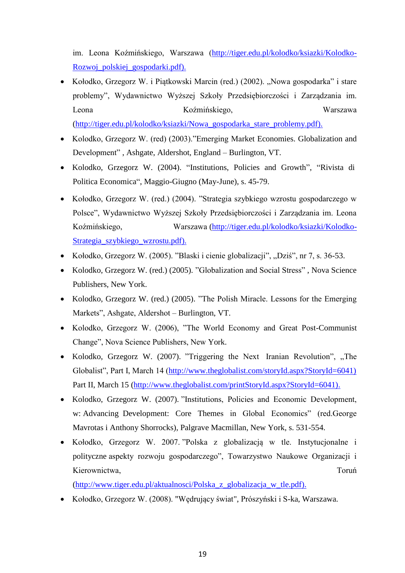im. Leona Koźmińskiego, Warszawa [\(http://tiger.edu.pl/kolodko/ksiazki/Kolodko-](http://tiger.edu.pl/kolodko/ksiazki/Kolodko-Rozwoj_polskiej_gospodarki.pdf))[Rozwoj\\_polskiej\\_gospodarki.pdf\).](http://tiger.edu.pl/kolodko/ksiazki/Kolodko-Rozwoj_polskiej_gospodarki.pdf))

- Kołodko, Grzegorz W. i Piątkowski Marcin (red.) (2002). "Nowa gospodarka" i stare problemy", Wydawnictwo Wyższej Szkoły Przedsiębiorczości i Zarządzania im. Leona Koźmińskiego, Warszawa [\(http://tiger.edu.pl/kolodko/ksiazki/Nowa\\_gospodarka\\_stare\\_problemy.pdf\).](http://tiger.edu.pl/kolodko/ksiazki/Nowa_gospodarka_stare_problemy.pdf))
- Kolodko, Grzegorz W. (red) (2003)."Emerging Market Economies. Globalization and Development" , Ashgate, Aldershot, England – Burlington, VT.
- Kolodko, Grzegorz W. (2004). "Institutions, Policies and Growth", "Rivista di Politica Economica", Maggio-Giugno (May-June), s. 45-79.
- Kołodko, Grzegorz W. (red.) (2004). "Strategia szybkiego wzrostu gospodarczego w Polsce", Wydawnictwo Wyższej Szkoły Przedsiębiorczości i Zarządzania im. Leona Koźmińskiego, Warszawa [\(http://tiger.edu.pl/kolodko/ksiazki/Kolodko-](http://tiger.edu.pl/kolodko/ksiazki/Kolodko-Strategia_szybkiego_wzrostu.pdf))[Strategia\\_szybkiego\\_wzrostu.pdf\).](http://tiger.edu.pl/kolodko/ksiazki/Kolodko-Strategia_szybkiego_wzrostu.pdf))
- Kołodko, Grzegorz W. (2005). "Blaski i cienie globalizacji", "Dziś", nr 7, s. 36-53.
- Kolodko, Grzegorz W. (red.) (2005). "Globalization and Social Stress", Nova Science Publishers, New York.
- Kolodko, Grzegorz W. (red.) (2005). "The Polish Miracle. Lessons for the Emerging Markets", Ashgate, Aldershot – Burlington, VT.
- Kolodko, Grzegorz W. (2006), "The World Economy and Great Post-Communist Change", Nova Science Publishers, New York.
- Kolodko, Grzegorz W. (2007). "Triggering the Next Iranian Revolution", "The Globalist", Part I, March 14 [\(http://www.theglobalist.com/storyId.aspx?StoryId=6041\)](http://www.theglobalist.com/storyId.aspx?StoryId=6041)) Part II, March 15 [\(http://www.theglobalist.com/printStoryId.aspx?StoryId=6041\).](http://www.theglobalist.com/printStoryId.aspx?StoryId=6041))
- Kolodko, Grzegorz W. (2007). "Institutions, Policies and Economic Development, w: Advancing Development: Core Themes in Global Economics" (red.George Mavrotas i Anthony Shorrocks), Palgrave Macmillan, New York, s. 531-554.
- Kołodko, Grzegorz W. 2007. "Polska z globalizacją w tle. Instytucjonalne i polityczne aspekty rozwoju gospodarczego", Towarzystwo Naukowe Organizacji i Kierownictwa, Toruń a March 2003 a March 2004 a Toruń a Toruń a Toruń a Toruń a Toruń a Toruń a Toruń a Toruń

[\(http://www.tiger.edu.pl/aktualnosci/Polska\\_z\\_globalizacja\\_w\\_tle.pdf\).](http://www.tiger.edu.pl/aktualnosci/Polska_z_globalizacja_w_tle.pdf))

Kołodko, Grzegorz W. (2008). "Wędrujący świat", Prószyński i S-ka, Warszawa.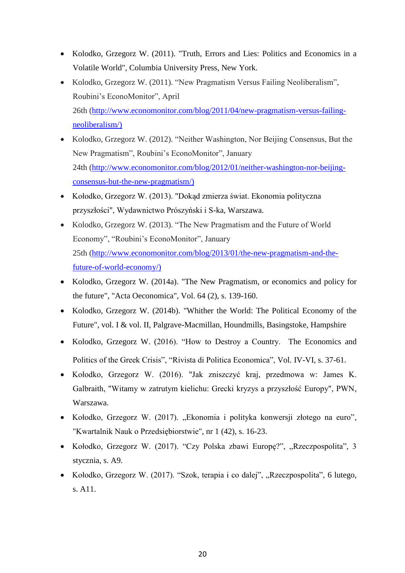- Kolodko, Grzegorz W. (2011). "Truth, Errors and Lies: Politics and Economics in a Volatile World", Columbia University Press, New York.
- Kolodko, Grzegorz W. (2011). "New Pragmatism Versus Failing Neoliberalism", Roubini's EconoMonitor", April 26th [\(http://www.economonitor.com/blog/2011/04/new-pragmatism-versus-failing](http://www.economonitor.com/blog/2011/04/new-pragmatism-versus-failing-neoliberalism/))[neoliberalism/\)](http://www.economonitor.com/blog/2011/04/new-pragmatism-versus-failing-neoliberalism/))
- Kolodko, Grzegorz W. (2012). "Neither Washington, Nor Beijing Consensus, But the New Pragmatism", Roubini's EconoMonitor", January 24th [\(http://www.economonitor.com/blog/2012/01/neither-washington-nor-beijing](http://www.economonitor.com/blog/2012/01/neither-washington-nor-beijing-consensus-but-the-new-pragmatism/))[consensus-but-the-new-pragmatism/\)](http://www.economonitor.com/blog/2012/01/neither-washington-nor-beijing-consensus-but-the-new-pragmatism/))
- Kołodko, Grzegorz W. (2013). "Dokąd zmierza świat. Ekonomia polityczna przyszłości", Wydawnictwo Prószyński i S-ka, Warszawa.
- Kolodko, Grzegorz W. (2013). "The New Pragmatism and the Future of World Economy", "Roubini's EconoMonitor", January 25th [\(http://www.economonitor.com/blog/2013/01/the-new-pragmatism-and-the](http://www.economonitor.com/blog/2013/01/the-new-pragmatism-and-the-future-of-world-economy/))[future-of-world-economy/\)](http://www.economonitor.com/blog/2013/01/the-new-pragmatism-and-the-future-of-world-economy/))
- Kolodko, Grzegorz W. (2014a). "The New Pragmatism, or economics and policy for the future", "Acta Oeconomica", Vol. 64 (2), s. 139-160.
- Kolodko, Grzegorz W. (2014b). "Whither the World: The Political Economy of the Future", vol. I & vol. II, Palgrave-Macmillan, Houndmills, Basingstoke, Hampshire
- Kolodko, Grzegorz W. (2016). "How to Destroy a Country. The Economics and Politics of the Greek Crisis", "Rivista di Politica Economica", Vol. IV-VI, s. 37-61.
- Kołodko, Grzegorz W. (2016). "Jak zniszczyć kraj, przedmowa w: James K. Galbraith, "Witamy w zatrutym kielichu: Grecki kryzys a przyszłość Europy", PWN, Warszawa.
- Kołodko, Grzegorz W. (2017). "Ekonomia i polityka konwersji złotego na euro", "Kwartalnik Nauk o Przedsiębiorstwie", nr 1 (42), s. 16-23.
- Kołodko, Grzegorz W. (2017). "Czy Polska zbawi Europę?", "Rzeczpospolita", 3 stycznia, s. A9.
- Kołodko, Grzegorz W. (2017). "Szok, terapia i co dalej", "Rzeczpospolita", 6 lutego, s. A11.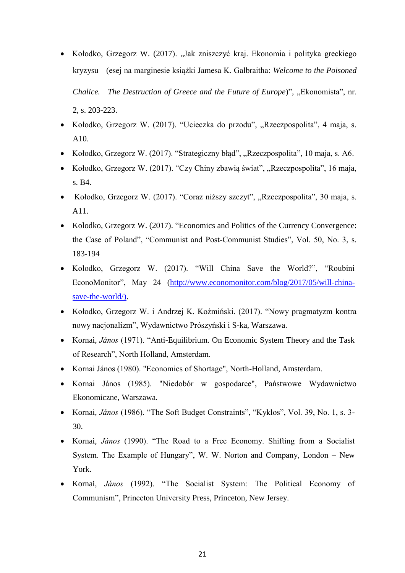- Kołodko, Grzegorz W. (2017). "Jak zniszczyć kraj. Ekonomia i polityka greckiego kryzysu (esej na marginesie książki Jamesa K. Galbraitha: *Welcome to the Poisoned Chalice. The Destruction of Greece and the Future of Europe*)", "Ekonomista", nr. 2, s. 203-223.
- Kołodko, Grzegorz W. (2017). "Ucieczka do przodu", "Rzeczpospolita", 4 maja, s. A10.
- Kołodko, Grzegorz W. (2017). "Strategiczny błąd", "Rzeczpospolita", 10 maja, s. A6.
- Kołodko, Grzegorz W. (2017). "Czy Chiny zbawią świat", "Rzeczpospolita", 16 maja, s. B4.
- Kołodko, Grzegorz W. (2017). "Coraz niższy szczyt", "Rzeczpospolita", 30 maja, s. A11.
- Kolodko, Grzegorz W. (2017). "Economics and Politics of the Currency Convergence: the Case of Poland", "Communist and Post-Communist Studies", Vol. 50, No. 3, s. 183-194
- Kolodko, Grzegorz W. (2017). "Will China Save the World?", "Roubini EconoMonitor", May 24 [\(http://www.economonitor.com/blog/2017/05/will-china](http://www.economonitor.com/blog/2017/05/will-china-save-the-world/))[save-the-world/\).](http://www.economonitor.com/blog/2017/05/will-china-save-the-world/))
- Kołodko, Grzegorz W. i Andrzej K. Koźmiński. (2017). "Nowy pragmatyzm kontra nowy nacjonalizm", Wydawnictwo Prószyński i S-ka, Warszawa.
- Kornai, *János* (1971). "Anti-Equilibrium. On Economic System Theory and the Task of Research", North Holland, Amsterdam.
- Kornai János (1980). "Economics of Shortage", North-Holland, Amsterdam.
- Kornai János (1985). "Niedobór w gospodarce", Państwowe Wydawnictwo Ekonomiczne, Warszawa.
- Kornai, *János* (1986). "The Soft Budget Constraints", "Kyklos", Vol. 39, No. 1, s. 3- 30.
- Kornai, *János* (1990). "The Road to a Free Economy. Shifting from a Socialist System. The Example of Hungary", W. W. Norton and Company, London – New York.
- Kornai, *János* (1992). "The Socialist System: The Political Economy of Communism", Princeton University Press, Princeton, New Jersey.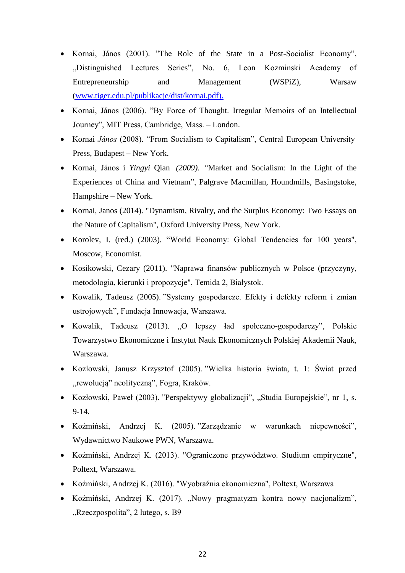- Kornai, János (2001). "The Role of the State in a Post-Socialist Economy", "Distinguished Lectures Series", No. 6, Leon Kozminski Academy of Entrepreneurship and Management (WSPiZ), Warsaw [\(www.tiger.edu.pl/publikacje/dist/kornai.pdf\).](http://www.tiger.edu.pl/publikacje/dist/kornai.pdf))
- Kornai, János (2006). "By Force of Thought. Irregular Memoirs of an Intellectual Journey", MIT Press, Cambridge, Mass. – London.
- Kornai *János* (2008). "From Socialism to Capitalism", Central European University Press, Budapest – New York.
- Kornai, János i *Yingyi* Qian *(2009). "*Market and Socialism: In the Light of the Experiences of China and Vietnam", Palgrave Macmillan, Houndmills, Basingstoke, Hampshire – New York.
- Kornai, Janos (2014). "Dynamism, Rivalry, and the Surplus Economy: Two Essays on the Nature of Capitalism", Oxford University Press, New York.
- Korolev, I. (red.) (2003). "World Economy: Global Tendencies for 100 years", Moscow, Economist.
- Kosikowski, Cezary (2011). "Naprawa finansów publicznych w Polsce (przyczyny, metodologia, kierunki i propozycje", Temida 2, Białystok.
- Kowalik, Tadeusz (2005). "Systemy gospodarcze. Efekty i defekty reform i zmian ustrojowych", Fundacja Innowacja, Warszawa.
- Kowalik, Tadeusz (2013). "O lepszy ład społeczno-gospodarczy", Polskie Towarzystwo Ekonomiczne i Instytut Nauk Ekonomicznych Polskiej Akademii Nauk, Warszawa.
- Kozłowski, Janusz Krzysztof (2005). "Wielka historia świata, t. 1: Świat przed "rewolucją" neolityczną", Fogra, Kraków.
- Kozłowski, Paweł (2003). "Perspektywy globalizacji", "Studia Europejskie", nr 1, s. 9-14.
- Koźmiński, Andrzej K. (2005). "Zarządzanie w warunkach niepewności", Wydawnictwo Naukowe PWN, Warszawa.
- Koźmiński, Andrzej K. (2013). "Ograniczone przywództwo. Studium empiryczne", Poltext, Warszawa.
- Koźmiński, Andrzej K. (2016). "Wyobraźnia ekonomiczna", Poltext, Warszawa
- Koźmiński, Andrzej K. (2017). "Nowy pragmatyzm kontra nowy nacjonalizm", "Rzeczpospolita", 2 lutego, s. B9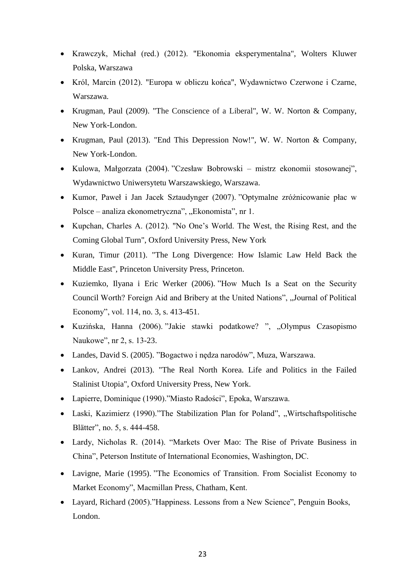- Krawczyk, Michał (red.) (2012). "Ekonomia eksperymentalna", Wolters Kluwer Polska, Warszawa
- Król, Marcin (2012). "Europa w obliczu końca", Wydawnictwo Czerwone i Czarne, Warszawa.
- Krugman, Paul (2009). "The Conscience of a Liberal", W. W. Norton & Company, New York-London.
- Krugman, Paul (2013). "End This Depression Now!", W. W. Norton & Company, New York-London.
- Kulowa, Małgorzata (2004). "Czesław Bobrowski mistrz ekonomii stosowanej", Wydawnictwo Uniwersytetu Warszawskiego, Warszawa.
- Kumor, Paweł i Jan Jacek Sztaudynger (2007). "Optymalne zróżnicowanie płac w Polsce – analiza ekonometryczna", "Ekonomista", nr 1.
- Kupchan, Charles A. (2012). "No One's World. The West, the Rising Rest, and the Coming Global Turn", Oxford University Press, New York
- Kuran, Timur (2011). "The Long Divergence: How Islamic Law Held Back the Middle East", Princeton University Press, Princeton.
- Kuziemko, Ilyana i Eric Werker (2006). "How Much Is a Seat on the Security Council Worth? Foreign Aid and Bribery at the United Nations", "Journal of Political Economy", vol. 114, no. 3, s. 413-451.
- Kuzińska, Hanna (2006). "Jakie stawki podatkowe? ", "Olympus Czasopismo Naukowe", nr 2, s. 13-23.
- Landes, David S. (2005). "Bogactwo i nędza narodów", Muza, Warszawa.
- Lankov, Andrei (2013). "The Real North Korea. Life and Politics in the Failed Stalinist Utopia", Oxford University Press, New York.
- Lapierre, Dominique (1990)."Miasto Radości", Epoka, Warszawa.
- Laski, Kazimierz (1990)."The Stabilization Plan for Poland", "Wirtschaftspolitische Blätter", no. 5, s. 444-458.
- Lardy, Nicholas R. (2014). "Markets Over Mao: The Rise of Private Business in China", Peterson Institute of International Economies, Washington, DC.
- Lavigne, Marie (1995). "The Economics of Transition. From Socialist Economy to Market Economy", Macmillan Press, Chatham, Kent.
- Layard, Richard (2005)."Happiness. Lessons from a New Science", Penguin Books, London.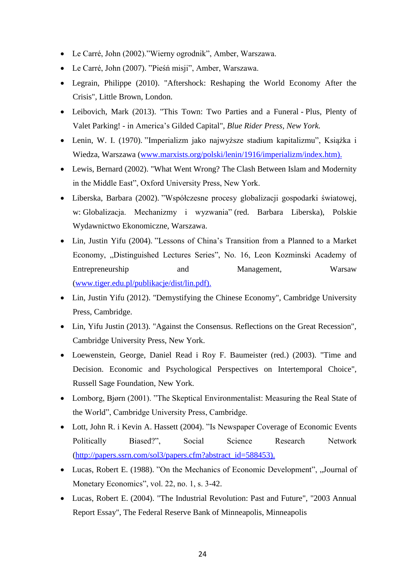- Le Carré, John (2002)."Wierny ogrodnik", Amber, Warszawa.
- Le Carré, John (2007). "Pieśń misji", Amber, Warszawa.
- Legrain, Philippe (2010). "Aftershock: Reshaping the World Economy After the Crisis", Little Brown, London.
- Leibovich, Mark (2013). "This Town: Two Parties and a Funeral Plus, Plenty of Valet Parking! - in America's Gilded Capital", *Blue Rider Press, New York.*
- Lenin, W. I. (1970). "Imperializm jako najwyższe stadium kapitalizmu", Książka i Wiedza, Warszawa [\(www.marxists.org/polski/lenin/1916/imperializm/index.htm\).](http://www.marxists.org/polski/lenin/1916/imperializm/index.htm))
- Lewis, Bernard (2002). "What Went Wrong? The Clash Between Islam and Modernity in the Middle East", Oxford University Press, New York.
- Liberska, Barbara (2002). "Współczesne procesy globalizacji gospodarki światowej, w: Globalizacja. Mechanizmy i wyzwania" (red. Barbara Liberska), Polskie Wydawnictwo Ekonomiczne, Warszawa.
- Lin, Justin Yifu (2004). "Lessons of China's Transition from a Planned to a Market Economy, "Distinguished Lectures Series", No. 16, Leon Kozminski Academy of Entrepreneurship and Management, Warsaw [\(www.tiger.edu.pl/publikacje/dist/lin.pdf\).](http://www.tiger.edu.pl/publikacje/dist/lin.pdf))
- Lin, Justin Yifu (2012). "Demystifying the Chinese Economy", Cambridge University Press, Cambridge.
- Lin, Yifu Justin (2013). "Against the Consensus. Reflections on the Great Recession", Cambridge University Press, New York.
- Loewenstein, George, Daniel Read i Roy F. Baumeister (red.) (2003). "Time and Decision. Economic and Psychological Perspectives on Intertemporal Choice", Russell Sage Foundation, New York.
- Lomborg, Bjørn (2001). "The Skeptical Environmentalist: Measuring the Real State of the World", Cambridge University Press, Cambridge.
- Lott, John R. i Kevin A. Hassett (2004). "Is Newspaper Coverage of Economic Events Politically Biased?", Social Science Research Network [\(http://papers.ssrn.com/sol3/papers.cfm?abstract\\_id=588453\).](http://papers.ssrn.com/sol3/papers.cfm?abstract_id=588453))
- Lucas, Robert E. (1988). "On the Mechanics of Economic Development", "Journal of Monetary Economics", vol. 22, no. 1, s. 3-42.
- Lucas, Robert E. (2004). "The Industrial Revolution: Past and Future", "2003 Annual Report Essay", The Federal Reserve Bank of Minneapolis, Minneapolis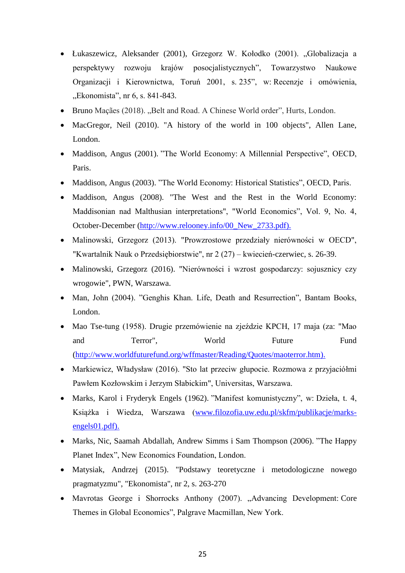- Łukaszewicz, Aleksander (2001), Grzegorz W. Kołodko (2001). "Globalizacja a perspektywy rozwoju krajów posocjalistycznych", Towarzystwo Naukowe Organizacji i Kierownictwa, Toruń 2001, s. 235", w: Recenzje i omówienia, "Ekonomista", nr 6, s. 841-843.
- Bruno Maçães (2018). "Belt and Road. A Chinese World order", Hurts, London.
- MacGregor, Neil (2010). "A history of the world in 100 objects", Allen Lane, London.
- Maddison, Angus (2001). "The World Economy: A Millennial Perspective", OECD, Paris.
- Maddison, Angus (2003). "The World Economy: Historical Statistics", OECD, Paris.
- Maddison, Angus (2008). "The West and the Rest in the World Economy: Maddisonian nad Malthusian interpretations", "World Economics", Vol. 9, No. 4, October-December [\(http://www.relooney.info/00\\_New\\_2733.pdf\).](http://www.relooney.info/00_New_2733.pdf))
- Malinowski, Grzegorz (2013). "Prowzrostowe przedziały nierówności w OECD", "Kwartalnik Nauk o Przedsiębiorstwie", nr 2 (27) – kwiecień-czerwiec, s. 26-39.
- Malinowski, Grzegorz (2016). "Nierówności i wzrost gospodarczy: sojusznicy czy wrogowie", PWN, Warszawa.
- Man, John (2004). "Genghis Khan. Life, Death and Resurrection", Bantam Books, London.
- Mao Tse-tung (1958). Drugie przemówienie na zjeździe KPCH, 17 maja (za: "Mao and Terror", World Future Fund [\(http://www.worldfuturefund.org/wffmaster/Reading/Quotes/maoterror.htm\).](http://www.worldfuturefund.org/wffmaster/Reading/Quotes/maoterror.htm))
- Markiewicz, Władysław (2016). "Sto lat przeciw głupocie. Rozmowa z przyjaciółmi Pawłem Kozłowskim i Jerzym Słabickim", Universitas, Warszawa.
- Marks, Karol i Fryderyk Engels (1962). "Manifest komunistyczny", w: Dzieła, t. 4, Książka i Wiedza, Warszawa [\(www.filozofia.uw.edu.pl/skfm/publikacje/marks](http://www.filozofia.uw.edu.pl/skfm/publikacje/marks-engels01.pdf))[engels01.pdf\).](http://www.filozofia.uw.edu.pl/skfm/publikacje/marks-engels01.pdf))
- Marks, Nic, Saamah Abdallah, Andrew Simms i Sam Thompson (2006). "The Happy Planet Index", New Economics Foundation, London.
- Matysiak, Andrzej (2015). "Podstawy teoretyczne i metodologiczne nowego pragmatyzmu", "Ekonomista", nr 2, s. 263-270
- Mavrotas George i Shorrocks Anthony (2007). "Advancing Development: Core Themes in Global Economics", Palgrave Macmillan, New York.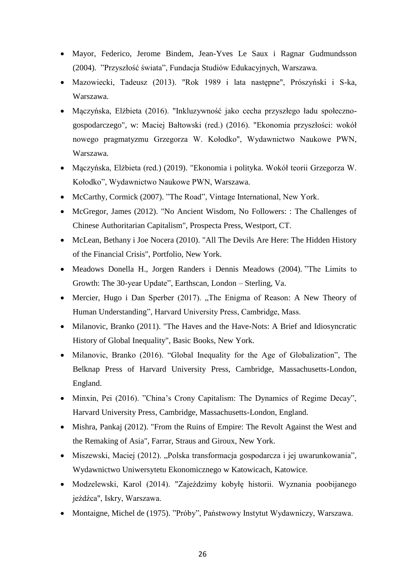- Mayor, Federico, Jerome Bindem, Jean-Yves Le Saux i Ragnar Gudmundsson (2004). "Przyszłość świata", Fundacja Studiów Edukacyjnych, Warszawa.
- Mazowiecki, Tadeusz (2013). "Rok 1989 i lata następne", Prószyński i S-ka, Warszawa.
- Mączyńska, Elżbieta (2016). "Inkluzywność jako cecha przyszłego ładu społecznogospodarczego", w: Maciej Bałtowski (red.) (2016). "Ekonomia przyszłości: wokół nowego pragmatyzmu Grzegorza W. Kołodko", Wydawnictwo Naukowe PWN, Warszawa.
- Mączyńska, Elżbieta (red.) (2019). "Ekonomia i polityka. Wokół teorii Grzegorza W. Kołodko", Wydawnictwo Naukowe PWN, Warszawa.
- McCarthy, Cormick (2007). "The Road", Vintage International, New York.
- McGregor, James (2012). "No Ancient Wisdom, No Followers: : The Challenges of Chinese Authoritarian Capitalism", Prospecta Press, Westport, CT.
- McLean, Bethany i Joe Nocera (2010). "All The Devils Are Here: The Hidden History of the Financial Crisis", Portfolio, New York.
- Meadows Donella H., Jorgen Randers i Dennis Meadows (2004). "The Limits to Growth: The 30-year Update", Earthscan, London – Sterling, Va.
- Mercier, Hugo i Dan Sperber (2017). "The Enigma of Reason: A New Theory of Human Understanding", Harvard University Press, Cambridge, Mass.
- Milanovic, Branko (2011). "The Haves and the Have-Nots: A Brief and Idiosyncratic History of Global Inequality", Basic Books, New York.
- Milanovic, Branko (2016). "Global Inequality for the Age of Globalization", The Belknap Press of Harvard University Press, Cambridge, Massachusetts-London, England.
- Minxin, Pei (2016). "China's Crony Capitalism: The Dynamics of Regime Decay", Harvard University Press, Cambridge, Massachusetts-London, England.
- Mishra, Pankaj (2012). "From the Ruins of Empire: The Revolt Against the West and the Remaking of Asia", Farrar, Straus and Giroux, New York.
- Miszewski, Maciej (2012). "Polska transformacja gospodarcza i jej uwarunkowania", Wydawnictwo Uniwersytetu Ekonomicznego w Katowicach, Katowice.
- Modzelewski, Karol (2014). "Zajeździmy kobyłę historii. Wyznania poobijanego jeźdźca", Iskry, Warszawa.
- Montaigne, Michel de (1975). "Próby", Państwowy Instytut Wydawniczy, Warszawa.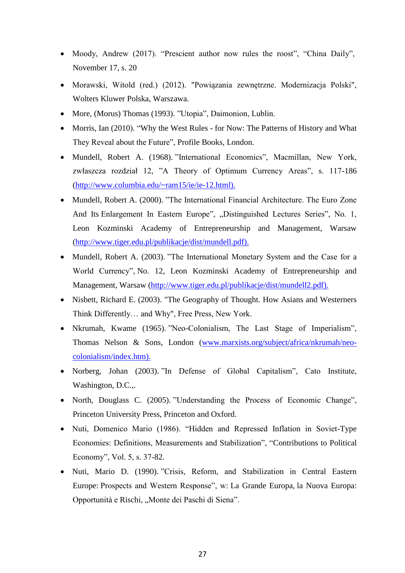- Moody, Andrew (2017). "Prescient author now rules the roost", "China Daily", November 17, s. 20
- Morawski, Witold (red.) (2012). "Powiązania zewnętrzne. Modernizacja Polski", Wolters Kluwer Polska, Warszawa.
- More, (Morus) Thomas (1993). "Utopia", Daimonion, Lublin.
- Morris, Ian (2010). "Why the West Rules for Now: The Patterns of History and What They Reveal about the Future", Profile Books, London.
- Mundell, Robert A. (1968). "International Economics", Macmillan, New York, zwłaszcza rozdział 12, "A Theory of Optimum Currency Areas", s. 117-186 [\(http://www.columbia.edu/~ram15/ie/ie-12.html\).](http://www.columbia.edu/~ram15/ie/ie-12.html))
- Mundell, Robert A. (2000). "The International Financial Architecture. The Euro Zone And Its Enlargement In Eastern Europe", "Distinguished Lectures Series", No. 1, Leon Kozminski Academy of Entrepreneurship and Management, Warsaw [\(http://www.tiger.edu.pl/publikacje/dist/mundell.pdf\).](http://www.tiger.edu.pl/publikacje/dist/mundell.pdf))
- Mundell, Robert A. (2003). "The International Monetary System and the Case for a World Currency", No. 12, Leon Kozminski Academy of Entrepreneurship and Management, Warsaw [\(http://www.tiger.edu.pl/publikacje/dist/mundell2.pdf\).](http://www.tiger.edu.pl/publikacje/dist/mundell2.pdf))
- Nisbett, Richard E. (2003). "The Geography of Thought. How Asians and Westerners Think Differently… and Why", Free Press, New York.
- Nkrumah, Kwame (1965). "Neo-Colonialism, The Last Stage of Imperialism", Thomas Nelson & Sons, London [\(www.marxists.org/subject/africa/nkrumah/neo](http://www.marxists.org/subject/africa/nkrumah/neo-colonialism/index.htm))[colonialism/index.htm\).](http://www.marxists.org/subject/africa/nkrumah/neo-colonialism/index.htm))
- Norberg, Johan (2003). "In Defense of Global Capitalism", Cato Institute, Washington, D.C.,.
- North, Douglass C. (2005). "Understanding the Process of Economic Change", Princeton University Press, Princeton and Oxford.
- Nuti, Domenico Mario (1986). "Hidden and Repressed Inflation in Soviet-Type Economies: Definitions, Measurements and Stabilization", "Contributions to Political Economy", Vol. 5, s. 37-82.
- Nuti, Mario D. (1990). "Crisis, Reform, and Stabilization in Central Eastern Europe: Prospects and Western Response", w: La Grande Europa, la Nuova Europa: Opportunità e Rischi, "Monte dei Paschi di Siena".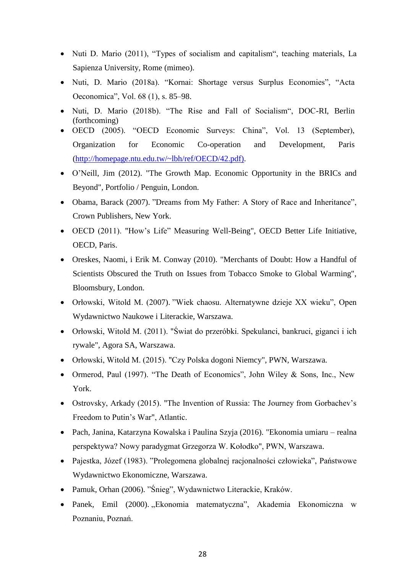- Nuti D. Mario (2011), "Types of socialism and capitalism", teaching materials, La Sapienza University, Rome (mimeo).
- Nuti, D. Mario (2018a). "Kornai: Shortage versus Surplus Economies", "Acta Oeconomica", Vol. 68 (1), s. 85–98.
- Nuti, D. Mario (2018b). "The Rise and Fall of Socialism", DOC-RI, Berlin (forthcoming)
- OECD (2005). "OECD Economic Surveys: China", Vol. 13 (September), Organization for Economic Co-operation and Development, Paris [\(http://homepage.ntu.edu.tw/~lbh/ref/OECD/42.pdf\).](http://homepage.ntu.edu.tw/~lbh/ref/OECD/42.pdf))
- O'Neill, Jim (2012). "The Growth Map. Economic Opportunity in the BRICs and Beyond", Portfolio / Penguin, London.
- Obama, Barack (2007). "Dreams from My Father: A Story of Race and Inheritance", Crown Publishers, New York.
- OECD (2011). "How's Life" Measuring Well-Being", OECD Better Life Initiative, OECD, Paris.
- Oreskes, Naomi, i Erik M. Conway (2010). "Merchants of Doubt: How a Handful of Scientists Obscured the Truth on Issues from Tobacco Smoke to Global Warming", Bloomsbury, London.
- Orłowski, Witold M. (2007). "Wiek chaosu. Alternatywne dzieje XX wieku", Open Wydawnictwo Naukowe i Literackie, Warszawa.
- Orłowski, Witold M. (2011). "Świat do przeróbki. Spekulanci, bankruci, giganci i ich rywale", Agora SA, Warszawa.
- Orłowski, Witold M. (2015). "Czy Polska dogoni Niemcy", PWN, Warszawa.
- Ormerod, Paul (1997). "The Death of Economics", John Wiley & Sons, Inc., New York.
- Ostrovsky, Arkady (2015). "The Invention of Russia: The Journey from Gorbachev's Freedom to Putin's War", Atlantic.
- Pach, Janina, Katarzyna Kowalska i Paulina Szyja (2016). "Ekonomia umiaru realna perspektywa? Nowy paradygmat Grzegorza W. Kołodko", PWN, Warszawa.
- Pajestka, Józef (1983). "Prolegomena globalnej racjonalności człowieka", Państwowe Wydawnictwo Ekonomiczne, Warszawa.
- Pamuk, Orhan (2006). "Śnieg", Wydawnictwo Literackie, Kraków.
- Panek, Emil (2000). "Ekonomia matematyczna", Akademia Ekonomiczna w Poznaniu, Poznań.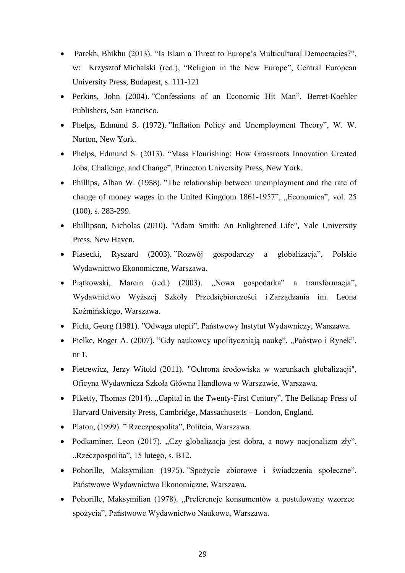- Parekh, Bhikhu (2013). "Is Islam a Threat to Europe's Multicultural Democracies?", w: [Krzysztof](http://books.openedition.org/author?name=michalski+krzysztof) Michalski (red.), "Religion in the New Europe", Central European University Press, Budapest, s. 111-121
- Perkins, John (2004). "Confessions of an Economic Hit Man", Berret-Koehler Publishers, San Francisco.
- Phelps, Edmund S. (1972). "Inflation Policy and Unemployment Theory", W. W. Norton, New York.
- Phelps, Edmund S. (2013). "Mass Flourishing: How Grassroots Innovation Created Jobs, Challenge, and Change", Princeton University Press, New York.
- Phillips, Alban W. (1958). "The relationship between unemployment and the rate of change of money wages in the United Kingdom 1861-1957", "Economica", vol. 25 (100), s. 283-299.
- Phillipson, Nicholas (2010). "Adam Smith: An Enlightened Life", Yale University Press, New Haven.
- Piasecki, Ryszard (2003). "Rozwój gospodarczy a globalizacja", Polskie Wydawnictwo Ekonomiczne, Warszawa.
- Piątkowski, Marcin (red.) (2003). "Nowa gospodarka" a transformacja", Wydawnictwo Wyższej Szkoły Przedsiębiorczości i Zarządzania im. Leona Koźmińskiego, Warszawa.
- Picht, Georg (1981). "Odwaga utopii", Państwowy Instytut Wydawniczy, Warszawa.
- Pielke, Roger A. (2007). "Gdy naukowcy upolityczniają naukę", "Państwo i Rynek", nr 1.
- Pietrewicz, Jerzy Witold (2011). "Ochrona środowiska w warunkach globalizacji", Oficyna Wydawnicza Szkoła Główna Handlowa w Warszawie, Warszawa.
- Piketty, Thomas (2014). "Capital in the Twenty-First Century", The Belknap Press of Harvard University Press, Cambridge, Massachusetts – London, England.
- Platon, (1999). " Rzeczpospolita", Politeia, Warszawa.
- Podkaminer, Leon (2017). "Czy globalizacja jest dobra, a nowy nacjonalizm zły", "Rzeczpospolita", 15 lutego, s. B12.
- Pohorille, Maksymilian (1975). "Spożycie zbiorowe i świadczenia społeczne", Państwowe Wydawnictwo Ekonomiczne, Warszawa.
- Pohorille, Maksymilian (1978). "Preferencje konsumentów a postulowany wzorzec spożycia", Państwowe Wydawnictwo Naukowe, Warszawa.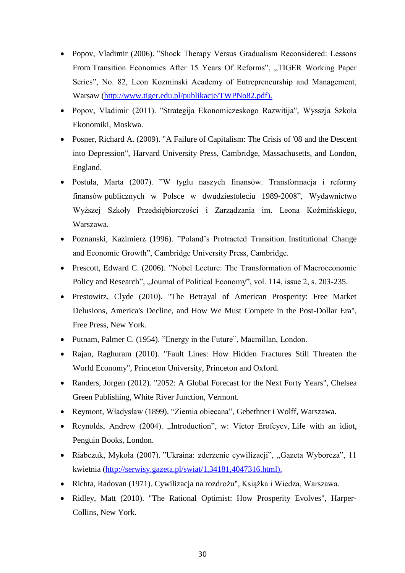- Popov, Vladimir (2006). "Shock Therapy Versus Gradualism Reconsidered: Lessons From Transition Economies After 15 Years Of Reforms", "TIGER Working Paper Series", No. 82, Leon Kozminski Academy of Entrepreneurship and Management, Warsaw [\(http://www.tiger.edu.pl/publikacje/TWPNo82.pdf\).](http://www.tiger.edu.pl/publikacje/TWPNo82.pdf))
- Popov, Vladimir (2011). "Strategija Ekonomiczeskogo Razwitija", Wysszja Szkoła Ekonomiki, Moskwa.
- Posner, Richard A. (2009). "A Failure of Capitalism: The Crisis of '08 and the Descent into Depression", Harvard University Press, Cambridge, Massachusetts, and London, England.
- Postuła, Marta (2007). "W tyglu naszych finansów. Transformacja i reformy finansów publicznych w Polsce w dwudziestoleciu 1989-2008", Wydawnictwo Wyższej Szkoły Przedsiębiorczości i Zarządzania im. Leona Koźmińskiego, Warszawa.
- Poznanski, Kazimierz (1996). "Poland's Protracted Transition. Institutional Change and Economic Growth", Cambridge University Press, Cambridge.
- Prescott, Edward C. (2006). "Nobel Lecture: The Transformation of Macroeconomic Policy and Research", "Journal of Political Economy", vol. 114, issue 2, s. 203-235.
- Prestowitz, Clyde (2010). "The Betrayal of American Prosperity: Free Market Delusions, America's Decline, and How We Must Compete in the Post-Dollar Era", Free Press, New York.
- Putnam, Palmer C. (1954). "Energy in the Future", Macmillan, London.
- Rajan, Raghuram (2010). "Fault Lines: How Hidden Fractures Still Threaten the World Economy", Princeton University, Princeton and Oxford.
- Randers, Jorgen (2012). "2052: A Global Forecast for the Next Forty Years", Chelsea Green Publishing, White River Junction, Vermont.
- Reymont, Władysław (1899). "Ziemia obiecana", Gebethner i Wolff, Warszawa.
- Reynolds, Andrew (2004). "Introduction", w: Victor Erofeyev, Life with an idiot, Penguin Books, London.
- Riabczuk, Mykoła (2007). "Ukraina: zderzenie cywilizacji", "Gazeta Wyborcza", 11 kwietnia [\(http://serwisy.gazeta.pl/swiat/1,34181,4047316.html\).](http://serwisy.gazeta.pl/swiat/1,34181,4047316.html))
- Richta, Radovan (1971). Cywilizacja na rozdrożu", Książka i Wiedza, Warszawa.
- Ridley, Matt (2010). "The Rational Optimist: How Prosperity Evolves", Harper-Collins, New York.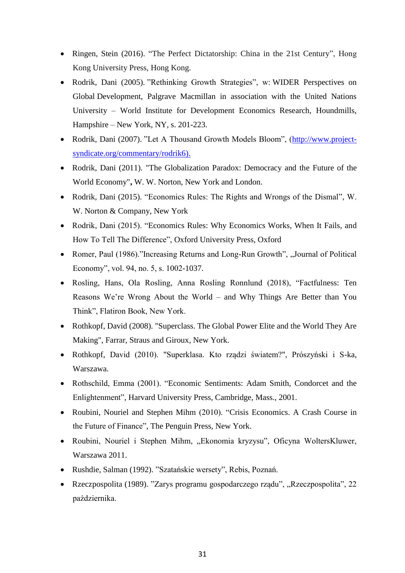- Ringen, Stein (2016). "The Perfect Dictatorship: China in the 21st Century", Hong Kong University Press, Hong Kong.
- Rodrik, Dani (2005). "Rethinking Growth Strategies", w: WIDER Perspectives on Global Development, Palgrave Macmillan in association with the United Nations University – World Institute for Development Economics Research, Houndmills, Hampshire – New York, NY, s. 201-223.
- Rodrik, Dani (2007). "Let A Thousand Growth Models Bloom", [\(http://www.project](http://www.project-syndicate.org/commentary/rodrik6))[syndicate.org/commentary/rodrik6\).](http://www.project-syndicate.org/commentary/rodrik6))
- Rodrik, Dani (2011). "The Globalization Paradox: Democracy and the Future of the World Economy"**,** W. W. Norton, New York and London.
- Rodrik, Dani (2015). "Economics Rules: The Rights and Wrongs of the Dismal", W. W. Norton & Company, New York
- Rodrik, Dani (2015). "Economics Rules: Why Economics Works, When It Fails, and How To Tell The Difference", Oxford University Press, Oxford
- Romer, Paul (1986)."Increasing Returns and Long-Run Growth", "Journal of Political Economy", vol. 94, no. 5, s. 1002-1037.
- Rosling, Hans, Ola Rosling, Anna Rosling Ronnlund (2018), "Factfulness: Ten Reasons We're Wrong About the World – and Why Things Are Better than You Think", Flatiron Book, New York.
- Rothkopf, David (2008). "Superclass. The Global Power Elite and the World They Are Making", Farrar, Straus and Giroux, New York.
- Rothkopf, David (2010). "Superklasa. Kto rządzi światem?", Prószyński i S-ka, Warszawa.
- Rothschild, Emma (2001). "Economic Sentiments: Adam Smith, Condorcet and the Enlightenment", Harvard University Press, Cambridge, Mass., 2001.
- Roubini, Nouriel and Stephen Mihm (2010). "Crisis Economics. A Crash Course in the Future of Finance", The Penguin Press, New York.
- Roubini, Nouriel i Stephen Mihm, "Ekonomia kryzysu", Oficyna WoltersKluwer, Warszawa 2011.
- Rushdie, Salman (1992). "Szatańskie wersety", Rebis, Poznań.
- Rzeczpospolita (1989). "Zarys programu gospodarczego rządu", "Rzeczpospolita", 22 października.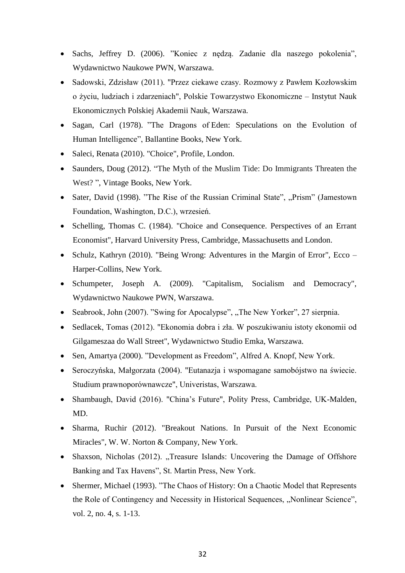- Sachs, Jeffrey D. (2006). "Koniec z nędzą. Zadanie dla naszego pokolenia", Wydawnictwo Naukowe PWN, Warszawa.
- Sadowski, Zdzisław (2011). "Przez ciekawe czasy. Rozmowy z Pawłem Kozłowskim o życiu, ludziach i zdarzeniach", Polskie Towarzystwo Ekonomiczne – Instytut Nauk Ekonomicznych Polskiej Akademii Nauk, Warszawa.
- Sagan, Carl (1978). "The Dragons of Eden: Speculations on the Evolution of Human Intelligence", Ballantine Books, New York.
- Saleci, Renata (2010). "Choice", Profile, London.
- Saunders, Doug (2012). "The Myth of the Muslim Tide: Do Immigrants Threaten the West? ", Vintage Books, New York.
- Sater, David (1998). "The Rise of the Russian Criminal State", "Prism" (Jamestown Foundation, Washington, D.C.), wrzesień.
- Schelling, Thomas C. (1984). "Choice and Consequence. Perspectives of an Errant Economist", Harvard University Press, Cambridge, Massachusetts and London.
- Schulz, Kathryn (2010). "Being Wrong: Adventures in the Margin of Error", Ecco Harper-Collins, New York.
- Schumpeter, Joseph A. (2009). "Capitalism, Socialism and Democracy", Wydawnictwo Naukowe PWN, Warszawa.
- Seabrook, John (2007). "Swing for Apocalypse", "The New Yorker", 27 sierpnia.
- Sedlacek, Tomas (2012). "Ekonomia dobra i zła. W poszukiwaniu istoty ekonomii od Gilgameszaa do Wall Street", Wydawnictwo Studio Emka, Warszawa.
- Sen, Amartya (2000). "Development as Freedom", Alfred A. Knopf, New York.
- Seroczyńska, Małgorzata (2004). "Eutanazja i wspomagane samobójstwo na świecie. Studium prawnoporównawcze", Univeristas, Warszawa.
- Shambaugh, David (2016). "China's Future", Polity Press, Cambridge, UK-Malden, MD.
- Sharma, Ruchir (2012). "Breakout Nations. In Pursuit of the Next Economic Miracles", W. W. Norton & Company, New York.
- Shaxson, Nicholas (2012). "Treasure Islands: Uncovering the Damage of Offshore Banking and Tax Havens", St. Martin Press, New York.
- Shermer, Michael (1993). "The Chaos of History: On a Chaotic Model that Represents the Role of Contingency and Necessity in Historical Sequences, "Nonlinear Science", vol. 2, no. 4, s. 1-13.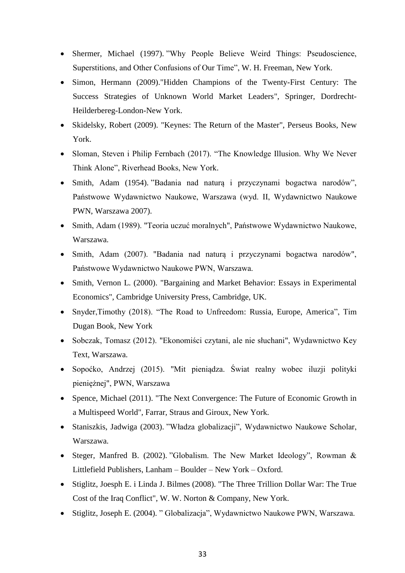- Shermer, Michael (1997). "Why People Believe Weird Things: Pseudoscience, Superstitions, and Other Confusions of Our Time", W. H. Freeman, New York.
- Simon, Hermann (2009)."Hidden Champions of the Twenty-First Century: The Success Strategies of Unknown World Market Leaders", Springer, Dordrecht-Heilderbereg-London-New York.
- Skidelsky, Robert (2009). "Keynes: The Return of the Master", Perseus Books, New York.
- Sloman, Steven i Philip Fernbach (2017). "The Knowledge Illusion. Why We Never Think Alone", Riverhead Books, New York.
- Smith, Adam (1954). "Badania nad naturą i przyczynami bogactwa narodów", Państwowe Wydawnictwo Naukowe, Warszawa (wyd. II, Wydawnictwo Naukowe PWN, Warszawa 2007).
- Smith, Adam (1989). "Teoria uczuć moralnych", Państwowe Wydawnictwo Naukowe, Warszawa.
- Smith, Adam (2007). "Badania nad naturą i przyczynami bogactwa narodów", Państwowe Wydawnictwo Naukowe PWN, Warszawa.
- Smith, Vernon L. (2000). "Bargaining and Market Behavior: Essays in Experimental Economics", Cambridge University Press, Cambridge, UK.
- Snyder,Timothy (2018). "The Road to Unfreedom: Russia, Europe, America", Tim Dugan Book, New York
- Sobczak, Tomasz (2012). "Ekonomiści czytani, ale nie słuchani", Wydawnictwo Key Text, Warszawa.
- Sopoćko, Andrzej (2015). "Mit pieniądza. Świat realny wobec iluzji polityki pieniężnej", PWN, Warszawa
- Spence, Michael (2011). "The Next Convergence: The Future of Economic Growth in a Multispeed World", Farrar, Straus and Giroux, New York.
- Staniszkis, Jadwiga (2003). "Władza globalizacji", Wydawnictwo Naukowe Scholar, Warszawa.
- Steger, Manfred B. (2002). "Globalism. The New Market Ideology", Rowman & Littlefield Publishers, Lanham – Boulder – New York – Oxford.
- Stiglitz, Joesph E. i Linda J. Bilmes (2008). "The Three Trillion Dollar War: The True Cost of the Iraq Conflict", W. W. Norton & Company, New York.
- Stiglitz, Joseph E. (2004). " Globalizacja", Wydawnictwo Naukowe PWN, Warszawa.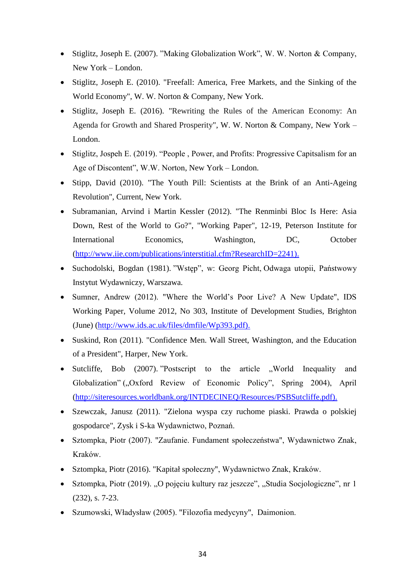- Stiglitz, Joseph E. (2007). "Making Globalization Work", W. W. Norton & Company, New York – London.
- Stiglitz, Joseph E. (2010). "Freefall: America, Free Markets, and the Sinking of the World Economy", W. W. Norton & Company, New York.
- Stiglitz, Joseph E. (2016). "Rewriting the Rules of the American Economy: An Agenda for Growth and Shared Prosperity", W. W. Norton & Company, New York – London.
- Stiglitz, Jospeh E. (2019). "People, Power, and Profits: Progressive Capitsalism for an Age of Discontent", W.W. Norton, New York – London.
- Stipp, David (2010). "The Youth Pill: Scientists at the Brink of an Anti-Ageing Revolution", Current, New York.
- Subramanian, Arvind i Martin Kessler (2012). "The Renminbi Bloc Is Here: Asia Down, Rest of the World to Go?", "Working Paper", 12-19, Peterson Institute for International Economics, Washington, DC, October [\(http://www.iie.com/publications/interstitial.cfm?ResearchID=2241\).](http://www.iie.com/publications/interstitial.cfm?ResearchID=2241))
- Suchodolski, Bogdan (1981). "Wstęp", w: Georg Picht, Odwaga utopii, Państwowy Instytut Wydawniczy, Warszawa.
- Sumner, Andrew (2012). "Where the World's Poor Live? A New Update", IDS Working Paper, Volume 2012, No 303, Institute of Development Studies, Brighton (June) [\(http://www.ids.ac.uk/files/dmfile/Wp393.pdf\).](http://www.ids.ac.uk/files/dmfile/Wp393.pdf))
- Suskind, Ron (2011). "Confidence Men. Wall Street, Washington, and the Education of a President", Harper, New York.
- Sutcliffe, Bob (2007). "Postscript to the article "World Inequality and Globalization" ("Oxford Review of Economic Policy", Spring 2004), April [\(http://siteresources.worldbank.org/INTDECINEQ/Resources/PSBSutcliffe.pdf\).](http://siteresources.worldbank.org/INTDECINEQ/Resources/PSBSutcliffe.pdf))
- Szewczak, Janusz (2011). "Zielona wyspa czy ruchome piaski. Prawda o polskiej gospodarce", Zysk i S-ka Wydawnictwo, Poznań.
- Sztompka, Piotr (2007). "Zaufanie. Fundament społeczeństwa", Wydawnictwo Znak, Kraków.
- Sztompka, Piotr (2016). "Kapitał społeczny", Wydawnictwo Znak, Kraków.
- Sztompka, Piotr (2019). "O pojęciu kultury raz jeszcze", "Studia Socjologiczne", nr 1 (232), s. 7-23.
- Szumowski, Władysław (2005). "Filozofia medycyny", Daimonion.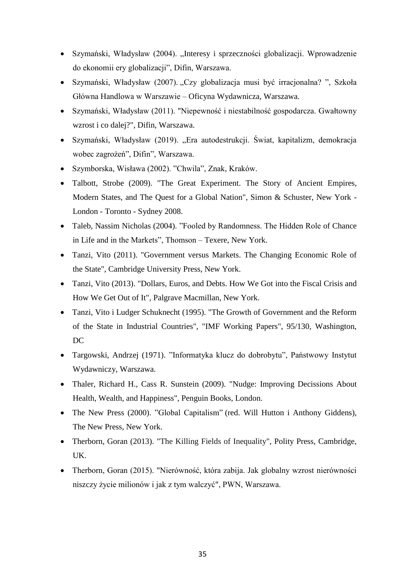- Szymański, Władysław (2004). "Interesy i sprzeczności globalizacji. Wprowadzenie do ekonomii ery globalizacji", Difin, Warszawa.
- Szymański, Władysław (2007). "Czy globalizacja musi być irracjonalna?", Szkoła Główna Handlowa w Warszawie – Oficyna Wydawnicza, Warszawa.
- Szymański, Władysław (2011). "Niepewność i niestabilność gospodarcza. Gwałtowny wzrost i co dalej?", Difin, Warszawa.
- Szymański, Władysław (2019). "Era autodestrukcji. Świat, kapitalizm, demokracja wobec zagrożeń", Difin", Warszawa.
- Szymborska, Wisława (2002). "Chwila", Znak, Kraków.
- Talbott, Strobe (2009). "The Great Experiment. The Story of Ancient Empires, Modern States, and The Quest for a Global Nation", Simon & Schuster, New York - London - Toronto - Sydney 2008.
- Taleb, Nassim Nicholas (2004). "Fooled by Randomness. The Hidden Role of Chance in Life and in the Markets", Thomson – Texere, New York.
- Tanzi, Vito (2011). "Government versus Markets. The Changing Economic Role of the State", Cambridge University Press, New York.
- Tanzi, Vito (2013). "Dollars, Euros, and Debts. How We Got into the Fiscal Crisis and How We Get Out of It", Palgrave Macmillan, New York.
- Tanzi, Vito i Ludger Schuknecht (1995). "The Growth of Government and the Reform of the State in Industrial Countries", "IMF Working Papers", 95/130, Washington, DC
- Targowski, Andrzej (1971). "Informatyka klucz do dobrobytu", Państwowy Instytut Wydawniczy, Warszawa.
- Thaler, Richard H., Cass R. Sunstein (2009). "Nudge: Improving Decissions About Health, Wealth, and Happiness", Penguin Books, London.
- The New Press (2000). "Global Capitalism" (red. Will Hutton i Anthony Giddens), The New Press, New York.
- Therborn, Goran (2013). "The Killing Fields of Inequality", Polity Press, Cambridge, UK.
- Therborn, Goran (2015). "Nierówność, która zabija. Jak globalny wzrost nierówności niszczy życie milionów i jak z tym walczyć", PWN, Warszawa.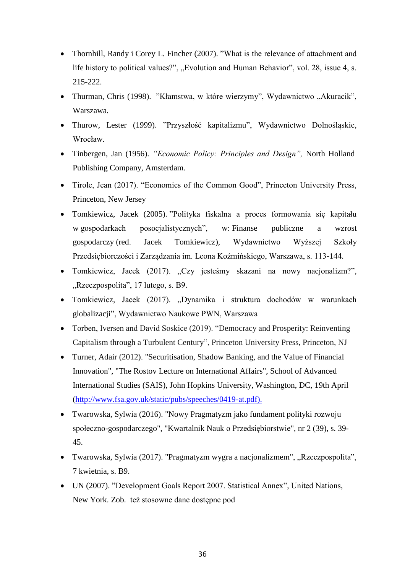- Thornhill, Randy i Corey L. Fincher (2007). "What is the relevance of attachment and life history to political values?", "Evolution and Human Behavior", vol. 28, issue 4, s. 215-222.
- Thurman, Chris (1998). "Kłamstwa, w które wierzymy", Wydawnictwo "Akuracik", Warszawa.
- Thurow, Lester (1999). "Przyszłość kapitalizmu", Wydawnictwo Dolnośląskie, Wrocław.
- Tinbergen, Jan (1956). *"Economic Policy: Principles and Design",* North Holland Publishing Company, Amsterdam.
- Tirole, Jean (2017). "Economics of the Common Good", Princeton University Press, Princeton, New Jersey
- Tomkiewicz, Jacek (2005). "Polityka fiskalna a proces formowania się kapitału w gospodarkach posocjalistycznych", w: Finanse publiczne a wzrost gospodarczy (red. Jacek Tomkiewicz), Wydawnictwo Wyższej Szkoły Przedsiębiorczości i Zarządzania im. Leona Koźmińskiego, Warszawa, s. 113-144.
- Tomkiewicz, Jacek (2017). "Czy jesteśmy skazani na nowy nacjonalizm?", "Rzeczpospolita", 17 lutego, s. B9.
- Tomkiewicz, Jacek (2017). "Dynamika i struktura dochodów w warunkach globalizacji", Wydawnictwo Naukowe PWN, Warszawa
- Torben, Iversen and David Soskice (2019). "Democracy and Prosperity: Reinventing Capitalism through a Turbulent Century", Princeton University Press, Princeton, NJ
- Turner, Adair (2012). "Securitisation, Shadow Banking, and the Value of Financial Innovation", "The Rostov Lecture on International Affairs", School of Advanced International Studies (SAIS), John Hopkins University, Washington, DC, 19th April [\(http://www.fsa.gov.uk/static/pubs/speeches/0419-at.pdf\).](http://www.fsa.gov.uk/static/pubs/speeches/0419-at.pdf))
- Twarowska, Sylwia (2016). "Nowy Pragmatyzm jako fundament polityki rozwoju społeczno-gospodarczego", "Kwartalnik Nauk o Przedsiębiorstwie", nr 2 (39), s. 39- 45.
- Twarowska, Sylwia (2017). "Pragmatyzm wygra a nacjonalizmem", "Rzeczpospolita", 7 kwietnia, s. B9.
- UN (2007). "Development Goals Report 2007. Statistical Annex", United Nations, New York. Zob. też stosowne dane dostępne pod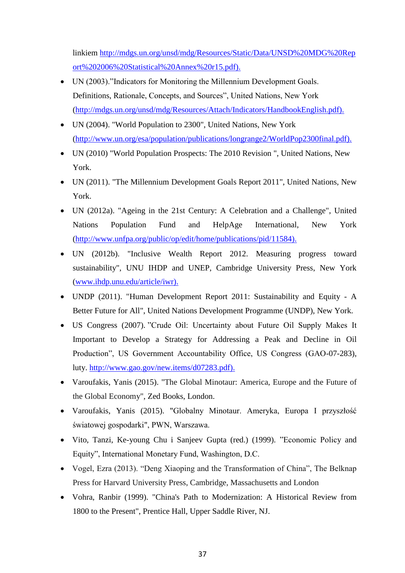linkiem [http://mdgs.un.org/unsd/mdg/Resources/Static/Data/UNSD%20MDG%20Rep](http://mdgs.un.org/unsd/mdg/Resources/Static/Data/UNSD%20MDG%20Report%202006%20Statistical%20Annex%20r15.pdf)) [ort%202006%20Statistical%20Annex%20r15.pdf\).](http://mdgs.un.org/unsd/mdg/Resources/Static/Data/UNSD%20MDG%20Report%202006%20Statistical%20Annex%20r15.pdf))

- UN (2003)."Indicators for Monitoring the Millennium Development Goals. Definitions, Rationale, Concepts, and Sources", United Nations, New York [\(http://mdgs.un.org/unsd/mdg/Resources/Attach/Indicators/HandbookEnglish.pdf\).](http://mdgs.un.org/unsd/mdg/Resources/Attach/Indicators/HandbookEnglish.pdf))
- UN (2004). "World Population to 2300", United Nations, New York [\(http://www.un.org/esa/population/publications/longrange2/WorldPop2300final.pdf\).](http://www.un.org/esa/population/publications/longrange2/WorldPop2300final.pdf))
- UN (2010) "World Population Prospects: The 2010 Revision ", United Nations, New York.
- UN (2011). "The Millennium Development Goals Report 2011", United Nations, New York.
- UN (2012a). "Ageing in the 21st Century: A Celebration and a Challenge", United Nations Population Fund and HelpAge International, New York [\(http://www.unfpa.org/public/op/edit/home/publications/pid/11584\).](http://www.unfpa.org/public/op/edit/home/publications/pid/11584))
- UN (2012b). "Inclusive Wealth Report 2012. Measuring progress toward sustainability", UNU IHDP and UNEP, Cambridge University Press, New York [\(www.ihdp.unu.edu/article/iwr\).](http://www.ihdp.unu.edu/article/iwr))
- UNDP (2011). "Human Development Report 2011: Sustainability and Equity A Better Future for All", United Nations Development Programme (UNDP), New York.
- US Congress (2007). "Crude Oil: Uncertainty about Future Oil Supply Makes It Important to Develop a Strategy for Addressing a Peak and Decline in Oil Production", US Government Accountability Office, US Congress (GAO-07-283), luty. [http://www.gao.gov/new.items/d07283.pdf\).](http://www.gao.gov/new.items/d07283.pdf))
- Varoufakis, Yanis (2015). "The Global Minotaur: America, Europe and the Future of the Global Economy", Zed Books, London.
- Varoufakis, Yanis (2015). "Globalny Minotaur. Ameryka, Europa I przyszłość światowej gospodarki", PWN, Warszawa.
- Vito, Tanzi, Ke-young Chu i Sanjeev Gupta (red.) (1999). "Economic Policy and Equity", International Monetary Fund, Washington, D.C.
- Vogel, Ezra (2013). "Deng Xiaoping and the Transformation of China", The Belknap Press for Harvard University Press, Cambridge, Massachusetts and London
- Vohra, Ranbir (1999). "China's Path to Modernization: A Historical Review from 1800 to the Present", Prentice Hall, Upper Saddle River, NJ.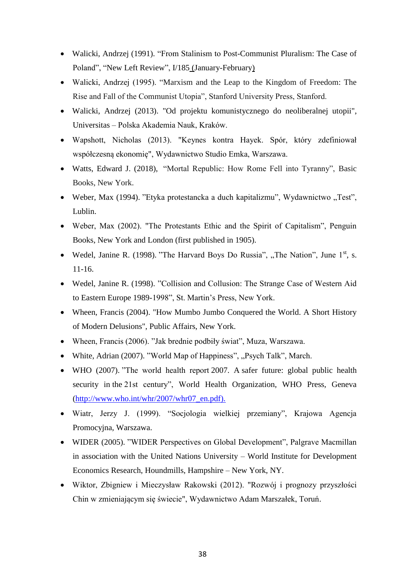- Walicki, Andrzej (1991). "From Stalinism to Post-Communist Pluralism: The Case of Poland", ["New Left Review", I/185](https://newleftreview.org/I/185) (January-February)
- Walicki, Andrzej (1995). "Marxism and the Leap to the Kingdom of Freedom: The Rise and Fall of the Communist Utopia", Stanford University Press, Stanford.
- Walicki, Andrzej (2013). "Od projektu komunistycznego do neoliberalnej utopii", Universitas – Polska Akademia Nauk, Kraków.
- Wapshott, Nicholas (2013). "Keynes kontra Hayek. Spór, który zdefiniował współczesną ekonomię", Wydawnictwo Studio Emka, Warszawa.
- [Watts,](https://www.amazon.com/s/ref=dp_byline_sr_book_1?ie=UTF8&text=Edward+J.+Watts&search-alias=books&field-author=Edward+J.+Watts&sort=relevancerank) Edward J. (2018), "Mortal Republic: How Rome Fell into Tyranny", Basic Books, New York.
- Weber, Max (1994). "Etyka protestancka a duch kapitalizmu", Wydawnictwo "Test", Lublin.
- Weber, Max (2002). "The Protestants Ethic and the Spirit of Capitalism", Penguin Books, New York and London (first published in 1905).
- Wedel, Janine R. (1998). "The Harvard Boys Do Russia", "The Nation", June  $1<sup>st</sup>$ , s. 11-16.
- Wedel, Janine R. (1998). "Collision and Collusion: The Strange Case of Western Aid to Eastern Europe 1989-1998", St. Martin's Press, New York.
- Wheen, Francis (2004). "How Mumbo Jumbo Conquered the World. A Short History of Modern Delusions", Public Affairs, New York.
- Wheen, Francis (2006). "Jak brednie podbiły świat", Muza, Warszawa.
- White, Adrian (2007). "World Map of Happiness", "Psych Talk", March.
- WHO (2007). "The world health report 2007. A safer future: global public health security in the 21st century", World Health Organization, WHO Press, Geneva [\(http://www.who.int/whr/2007/whr07\\_en.pdf\).](http://www.who.int/whr/2007/whr07_en.pdf))
- Wiatr, Jerzy J. (1999). "Socjologia wielkiej przemiany", Krajowa Agencja Promocyjna, Warszawa.
- WIDER (2005). "WIDER Perspectives on Global Development", Palgrave Macmillan in association with the United Nations University – World Institute for Development Economics Research, Houndmills, Hampshire – New York, NY.
- Wiktor, Zbigniew i Mieczysław Rakowski (2012). "Rozwój i prognozy przyszłości Chin w zmieniającym się świecie", Wydawnictwo Adam Marszałek, Toruń.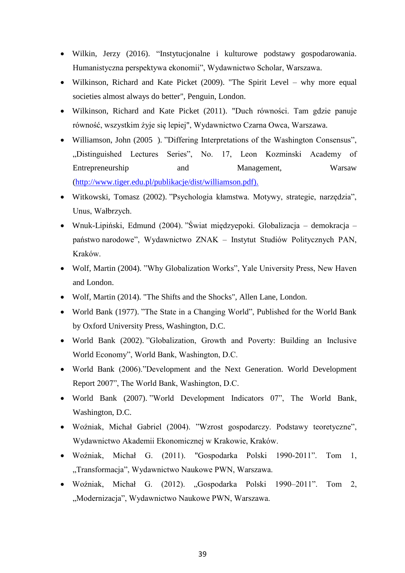- Wilkin, Jerzy (2016). "Instytucjonalne i kulturowe podstawy gospodarowania. Humanistyczna perspektywa ekonomii", Wydawnictwo Scholar, Warszawa.
- Wilkinson, Richard and Kate Picket (2009). "The Spirit Level why more equal societies almost always do better", Penguin, London.
- Wilkinson, Richard and Kate Picket (2011). "Duch równości. Tam gdzie panuje równość, wszystkim żyje się lepiej", Wydawnictwo Czarna Owca, Warszawa.
- Williamson, John (2005 ). "Differing Interpretations of the Washington Consensus", "Distinguished Lectures Series", No. 17, Leon Kozminski Academy of Entrepreneurship and Management, Warsaw [\(http://www.tiger.edu.pl/publikacje/dist/williamson.pdf\).](http://www.tiger.edu.pl/publikacje/dist/williamson.pdf))
- Witkowski, Tomasz (2002). "Psychologia kłamstwa. Motywy, strategie, narzędzia", Unus, Wałbrzych.
- Wnuk-Lipiński, Edmund (2004). "Świat międzyepoki. Globalizacja demokracja państwo narodowe", Wydawnictwo ZNAK – Instytut Studiów Politycznych PAN, Kraków.
- Wolf, Martin (2004). "Why Globalization Works", Yale University Press, New Haven and London.
- Wolf, Martin (2014). "The Shifts and the Shocks", Allen Lane, London.
- World Bank (1977). "The State in a Changing World", Published for the World Bank by Oxford University Press, Washington, D.C.
- World Bank (2002). "Globalization, Growth and Poverty: Building an Inclusive World Economy", World Bank, Washington, D.C.
- World Bank (2006)."Development and the Next Generation. World Development Report 2007", The World Bank, Washington, D.C.
- World Bank (2007). "World Development Indicators 07", The World Bank, Washington, D.C.
- Woźniak, Michał Gabriel (2004). "Wzrost gospodarczy. Podstawy teoretyczne", Wydawnictwo Akademii Ekonomicznej w Krakowie, Kraków.
- Woźniak, Michał G. (2011). "Gospodarka Polski 1990-2011". Tom 1, "Transformacja", Wydawnictwo Naukowe PWN, Warszawa.
- Woźniak, Michał G. (2012). "Gospodarka Polski 1990–2011". Tom 2, "Modernizacja", Wydawnictwo Naukowe PWN, Warszawa.